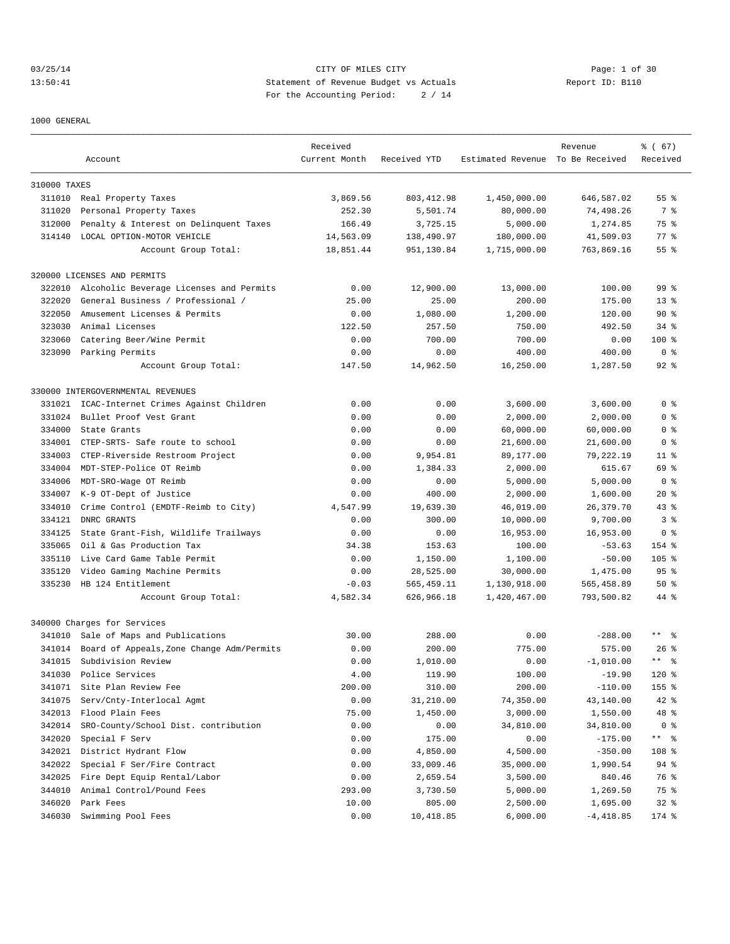03/25/14 Page: 1 of 30 13:50:41 Statement of Revenue Budget vs Actuals Report ID: B110 For the Accounting Period: 2 / 14

1000 GENERAL

|              |                                           | Received      |              |                                  | Revenue     | % (67)                    |
|--------------|-------------------------------------------|---------------|--------------|----------------------------------|-------------|---------------------------|
|              | Account                                   | Current Month | Received YTD | Estimated Revenue To Be Received |             | Received                  |
| 310000 TAXES |                                           |               |              |                                  |             |                           |
|              | 311010 Real Property Taxes                | 3,869.56      | 803, 412.98  | 1,450,000.00                     | 646,587.02  | 55 <sup>8</sup>           |
| 311020       | Personal Property Taxes                   | 252.30        | 5,501.74     | 80,000.00                        | 74,498.26   | 7 %                       |
| 312000       | Penalty & Interest on Delinquent Taxes    | 166.49        | 3,725.15     | 5,000.00                         | 1,274.85    | 75 %                      |
| 314140       | LOCAL OPTION-MOTOR VEHICLE                | 14,563.09     | 138,490.97   | 180,000.00                       | 41,509.03   | $77$ $%$                  |
|              | Account Group Total:                      | 18,851.44     | 951,130.84   | 1,715,000.00                     | 763,869.16  | 55 <sup>8</sup>           |
|              | 320000 LICENSES AND PERMITS               |               |              |                                  |             |                           |
| 322010       | Alcoholic Beverage Licenses and Permits   | 0.00          | 12,900.00    | 13,000.00                        | 100.00      | 99 <sup>°</sup>           |
| 322020       | General Business / Professional /         | 25.00         | 25.00        | 200.00                           | 175.00      | $13*$                     |
| 322050       | Amusement Licenses & Permits              | 0.00          | 1,080.00     | 1,200.00                         | 120.00      | 90%                       |
| 323030       | Animal Licenses                           | 122.50        | 257.50       | 750.00                           | 492.50      | $34$ $%$                  |
| 323060       | Catering Beer/Wine Permit                 | 0.00          | 700.00       | 700.00                           | 0.00        | 100 %                     |
| 323090       | Parking Permits                           | 0.00          | 0.00         | 400.00                           | 400.00      | 0 <sup>8</sup>            |
|              | Account Group Total:                      | 147.50        | 14,962.50    | 16,250.00                        | 1,287.50    | $92$ $%$                  |
|              | 330000 INTERGOVERNMENTAL REVENUES         |               |              |                                  |             |                           |
| 331021       | ICAC-Internet Crimes Against Children     | 0.00          | 0.00         | 3,600.00                         | 3,600.00    | 0 <sup>8</sup>            |
| 331024       | Bullet Proof Vest Grant                   | 0.00          | 0.00         | 2,000.00                         | 2,000.00    | 0 <sup>8</sup>            |
| 334000       | State Grants                              | 0.00          | 0.00         | 60,000.00                        | 60,000.00   | 0 <sup>8</sup>            |
| 334001       | CTEP-SRTS- Safe route to school           | 0.00          | 0.00         | 21,600.00                        | 21,600.00   | 0 %                       |
| 334003       | CTEP-Riverside Restroom Project           | 0.00          | 9,954.81     | 89,177.00                        | 79,222.19   | $11$ %                    |
| 334004       | MDT-STEP-Police OT Reimb                  | 0.00          | 1,384.33     | 2,000.00                         | 615.67      | 69 %                      |
| 334006       | MDT-SRO-Wage OT Reimb                     | 0.00          | 0.00         | 5,000.00                         | 5,000.00    | 0 <sup>8</sup>            |
| 334007       | K-9 OT-Dept of Justice                    | 0.00          | 400.00       | 2,000.00                         | 1,600.00    | $20*$                     |
| 334010       | Crime Control (EMDTF-Reimb to City)       | 4,547.99      | 19,639.30    | 46,019.00                        | 26,379.70   | $43$ %                    |
| 334121       | DNRC GRANTS                               | 0.00          | 300.00       | 10,000.00                        | 9,700.00    | 3 <sup>8</sup>            |
| 334125       | State Grant-Fish, Wildlife Trailways      | 0.00          | 0.00         | 16,953.00                        | 16,953.00   | 0 <sub>8</sub>            |
| 335065       | Oil & Gas Production Tax                  | 34.38         | 153.63       | 100.00                           | $-53.63$    | 154 %                     |
| 335110       | Live Card Game Table Permit               | 0.00          | 1,150.00     | 1,100.00                         | $-50.00$    | $105$ %                   |
| 335120       | Video Gaming Machine Permits              | 0.00          | 28,525.00    | 30,000.00                        | 1,475.00    | 95 <sup>8</sup>           |
| 335230       | HB 124 Entitlement                        | $-0.03$       | 565, 459.11  | 1,130,918.00                     | 565,458.89  | 50%                       |
|              | Account Group Total:                      | 4,582.34      | 626,966.18   | 1,420,467.00                     | 793,500.82  | 44 %                      |
|              | 340000 Charges for Services               |               |              |                                  |             |                           |
| 341010       | Sale of Maps and Publications             | 30.00         | 288.00       | 0.00                             | $-288.00$   | $***$ $%$                 |
| 341014       | Board of Appeals, Zone Change Adm/Permits | 0.00          | 200.00       | 775.00                           | 575.00      | $26$ %                    |
| 341015       | Subdivision Review                        | 0.00          | 1,010.00     | 0.00                             | $-1,010.00$ | $\star$ $\star$<br>。<br>。 |
| 341030       | Police Services                           | 4.00          | 119.90       | 100.00                           | $-19.90$    | $120$ %                   |
| 341071       | Site Plan Review Fee                      | 200.00        | 310.00       | 200.00                           | $-110.00$   | 155 %                     |
| 341075       | Serv/Cnty-Interlocal Agmt                 | 0.00          | 31,210.00    | 74,350.00                        | 43,140.00   | $42$ %                    |
| 342013       | Flood Plain Fees                          | 75.00         | 1,450.00     | 3,000.00                         | 1,550.00    | 48 %                      |
| 342014       | SRO-County/School Dist. contribution      | 0.00          | 0.00         | 34,810.00                        | 34,810.00   | 0 <sub>8</sub>            |
| 342020       | Special F Serv                            | 0.00          | 175.00       | 0.00                             | $-175.00$   | ** %                      |
| 342021       | District Hydrant Flow                     | 0.00          | 4,850.00     | 4,500.00                         | $-350.00$   | 108 %                     |
| 342022       | Special F Ser/Fire Contract               | 0.00          | 33,009.46    | 35,000.00                        | 1,990.54    | 94 %                      |
| 342025       | Fire Dept Equip Rental/Labor              | 0.00          | 2,659.54     | 3,500.00                         | 840.46      | 76 %                      |
| 344010       | Animal Control/Pound Fees                 | 293.00        | 3,730.50     | 5,000.00                         | 1,269.50    | 75 %                      |
| 346020       | Park Fees                                 | 10.00         | 805.00       | 2,500.00                         | 1,695.00    | $32$ $%$                  |
| 346030       | Swimming Pool Fees                        | 0.00          | 10,418.85    | 6,000.00                         | $-4,418.85$ | 174 %                     |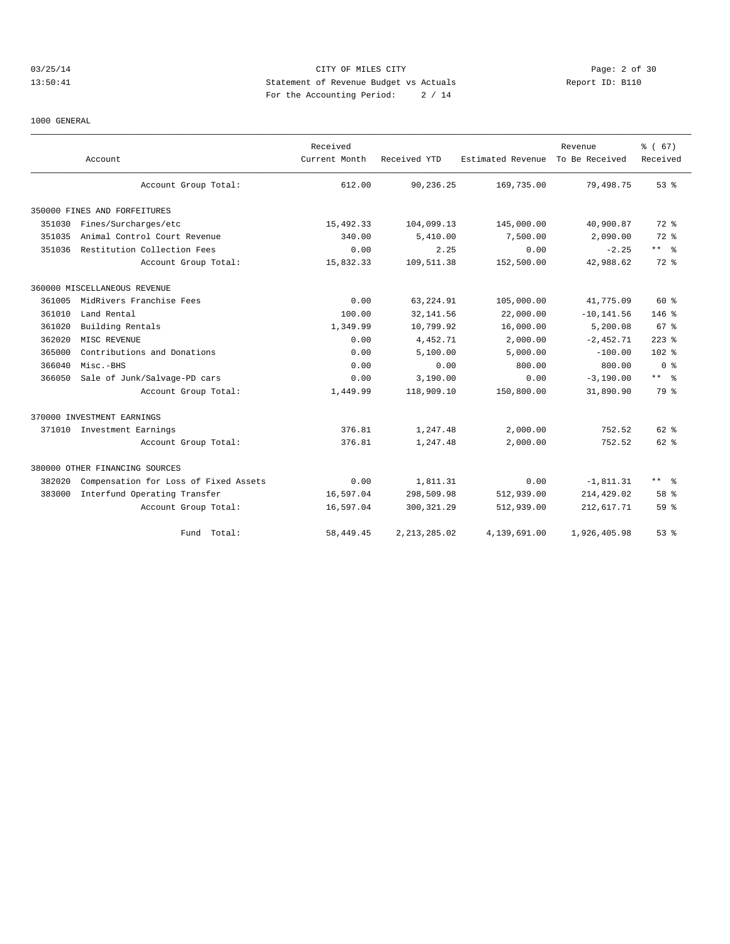# 03/25/14 Page: 2 of 30 13:50:41 Statement of Revenue Budget vs Actuals Report ID: B110 For the Accounting Period: 2 / 14

#### 1000 GENERAL

|        | Account                               | Received<br>Current Month | Received YTD   | Estimated Revenue | Revenue<br>To Be Received | % (67)<br>Received |
|--------|---------------------------------------|---------------------------|----------------|-------------------|---------------------------|--------------------|
|        | Account Group Total:                  | 612.00                    | 90,236.25      | 169,735.00        | 79,498.75                 | 53%                |
|        | 350000 FINES AND FORFEITURES          |                           |                |                   |                           |                    |
| 351030 | Fines/Surcharges/etc                  | 15,492.33                 | 104,099.13     | 145,000.00        | 40,900.87                 | 72 %               |
| 351035 | Animal Control Court Revenue          | 340.00                    | 5,410.00       | 7,500.00          | 2,090.00                  | 72 %               |
| 351036 | Restitution Collection Fees           | 0.00                      | 2.25           | 0.00              | $-2.25$                   | $***$ $%$          |
|        | Account Group Total:                  | 15,832.33                 | 109,511.38     | 152,500.00        | 42,988.62                 | 72 %               |
|        | 360000 MISCELLANEOUS REVENUE          |                           |                |                   |                           |                    |
| 361005 | MidRivers Franchise Fees              | 0.00                      | 63,224.91      | 105,000.00        | 41,775.09                 | 60 %               |
| 361010 | Land Rental                           | 100.00                    | 32, 141.56     | 22,000.00         | $-10, 141.56$             | $146$ %            |
| 361020 | Building Rentals                      | 1,349.99                  | 10,799.92      | 16,000.00         | 5,200.08                  | 67 <sup>8</sup>    |
| 362020 | MISC REVENUE                          | 0.00                      | 4,452.71       | 2,000.00          | $-2,452.71$               | $223$ $%$          |
| 365000 | Contributions and Donations           | 0.00                      | 5,100.00       | 5,000.00          | $-100.00$                 | 102 <sub>8</sub>   |
| 366040 | Misc.-BHS                             | 0.00                      | 0.00           | 800.00            | 800.00                    | 0 <sup>8</sup>     |
| 366050 | Sale of Junk/Salvage-PD cars          | 0.00                      | 3,190.00       | 0.00              | $-3,190.00$               | $***$ 8            |
|        | Account Group Total:                  | 1,449.99                  | 118,909.10     | 150,800.00        | 31,890.90                 | 79 %               |
|        | 370000 INVESTMENT EARNINGS            |                           |                |                   |                           |                    |
|        | 371010 Investment Earnings            | 376.81                    | 1,247.48       | 2,000.00          | 752.52                    | $62$ $%$           |
|        | Account Group Total:                  | 376.81                    | 1,247.48       | 2,000.00          | 752.52                    | $62$ $%$           |
|        | 380000 OTHER FINANCING SOURCES        |                           |                |                   |                           |                    |
| 382020 | Compensation for Loss of Fixed Assets | 0.00                      | 1,811.31       | 0.00              | $-1,811.31$               | $***$ $%$          |
| 383000 | Interfund Operating Transfer          | 16,597.04                 | 298,509.98     | 512,939.00        | 214,429.02                | 58 %               |
|        | Account Group Total:                  | 16,597.04                 | 300, 321.29    | 512,939.00        | 212,617.71                | 59 <sup>°</sup>    |
|        | Fund Total:                           | 58, 449.45                | 2, 213, 285.02 | 4,139,691.00      | 1,926,405.98              | $53$ $%$           |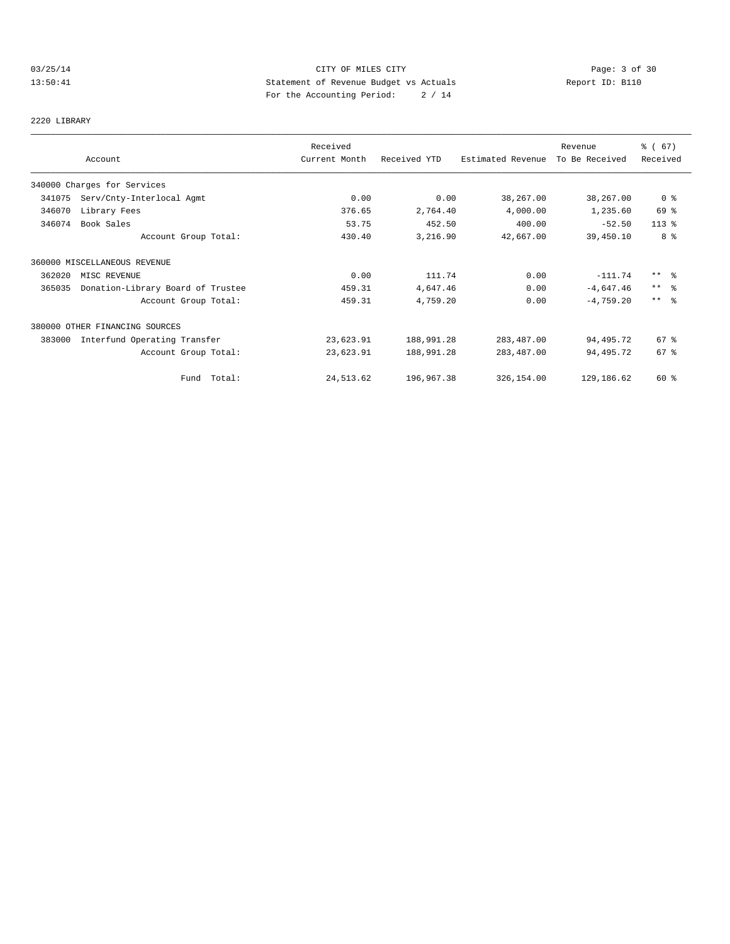# 03/25/14 Page: 3 of 30 13:50:41 Statement of Revenue Budget vs Actuals Report ID: B110 For the Accounting Period: 2 / 14

2220 LIBRARY

|        |                                   | Received      |              |                   | Revenue        | % (67)          |
|--------|-----------------------------------|---------------|--------------|-------------------|----------------|-----------------|
|        | Account                           | Current Month | Received YTD | Estimated Revenue | To Be Received | Received        |
|        | 340000 Charges for Services       |               |              |                   |                |                 |
| 341075 | Serv/Cnty-Interlocal Agmt         | 0.00          | 0.00         | 38,267.00         | 38,267.00      | 0 <sub>8</sub>  |
| 346070 | Library Fees                      | 376.65        | 2,764.40     | 4,000.00          | 1,235.60       | 69 %            |
| 346074 | Book Sales                        | 53.75         | 452.50       | 400.00            | $-52.50$       | $113*$          |
|        | Account Group Total:              | 430.40        | 3,216.90     | 42,667.00         | 39,450.10      | 8 %             |
|        | 360000 MISCELLANEOUS REVENUE      |               |              |                   |                |                 |
| 362020 | MISC REVENUE                      | 0.00          | 111.74       | 0.00              | $-111.74$      | $***$ $\approx$ |
| 365035 | Donation-Library Board of Trustee | 459.31        | 4,647.46     | 0.00              | $-4,647.46$    | $***$ $\approx$ |
|        | Account Group Total:              | 459.31        | 4,759.20     | 0.00              | $-4,759.20$    | $***$ $ -$      |
|        | 380000 OTHER FINANCING SOURCES    |               |              |                   |                |                 |
| 383000 | Interfund Operating Transfer      | 23,623.91     | 188,991.28   | 283, 487.00       | 94,495.72      | 67 %            |
|        | Account Group Total:              | 23,623.91     | 188,991.28   | 283, 487.00       | 94,495.72      | 67%             |
|        | Fund Total:                       | 24, 513.62    | 196,967.38   | 326,154.00        | 129,186.62     | 60 %            |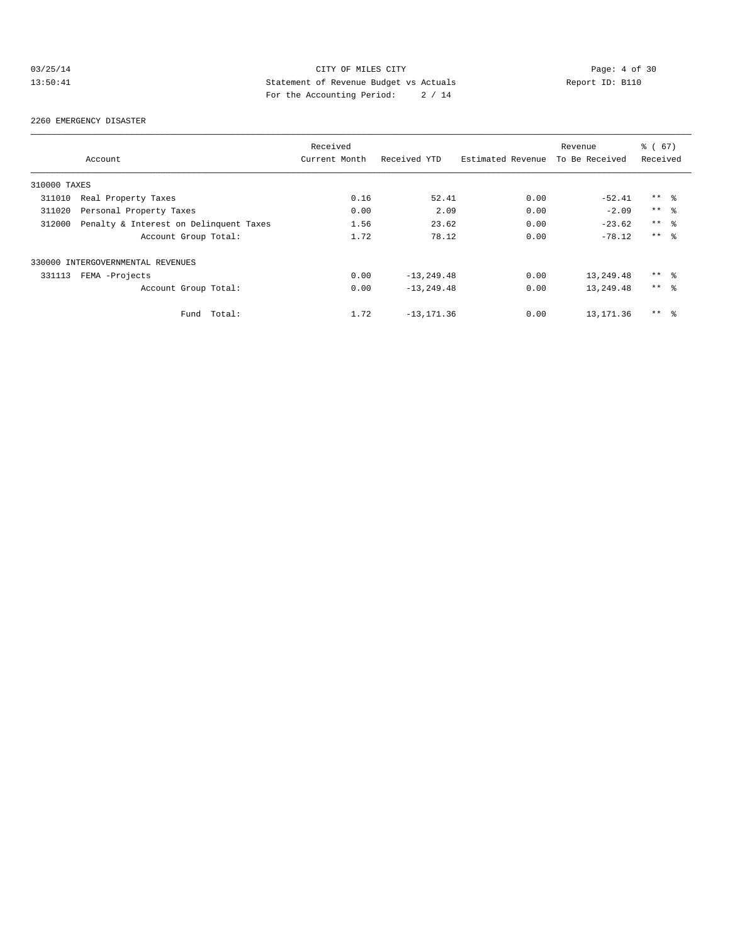# 03/25/14 CITY OF MILES CITY Page: 4 of 30<br>13:50:41 Statement of Revenue Budget vs Actuals Report ID: B110<br>Por the Accumular Deviced: 2011 13:50:41 Statement of Revenue Budget vs Actuals Report ID: B110 For the Accounting Period: 2 / 14

#### 2260 EMERGENCY DISASTER

|              |                                        | Received      |                |                   | Revenue        | % (67)          |  |
|--------------|----------------------------------------|---------------|----------------|-------------------|----------------|-----------------|--|
|              | Account                                | Current Month | Received YTD   | Estimated Revenue | To Be Received | Received        |  |
| 310000 TAXES |                                        |               |                |                   |                |                 |  |
| 311010       | Real Property Taxes                    | 0.16          | 52.41          | 0.00              | $-52.41$       | $***$ %         |  |
| 311020       | Personal Property Taxes                | 0.00          | 2.09           | 0.00              | $-2.09$        | $***$ $ -$      |  |
| 312000       | Penalty & Interest on Delinquent Taxes | 1.56          | 23.62          | 0.00              | $-23.62$       | $***$ $\approx$ |  |
|              | Account Group Total:                   | 1.72          | 78.12          | 0.00              | $-78.12$       | $***$ 8         |  |
|              | 330000 INTERGOVERNMENTAL REVENUES      |               |                |                   |                |                 |  |
| 331113       | FEMA -Projects                         | 0.00          | $-13, 249.48$  | 0.00              | 13,249.48      | $***$ $\approx$ |  |
|              | Account Group Total:                   | 0.00          | $-13, 249, 48$ | 0.00              | 13,249.48      | $***$ %         |  |
|              | Total:<br>Fund                         | 1.72          | $-13, 171.36$  | 0.00              | 13,171.36      | $***$ %         |  |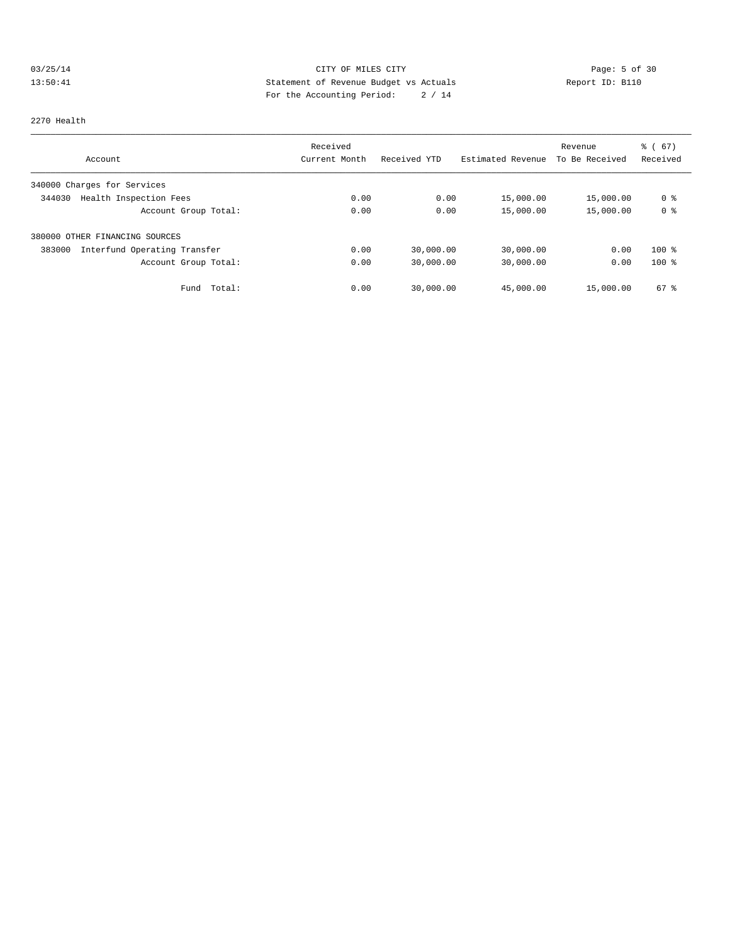# 03/25/14 Page: 5 of 30 13:50:41 Statement of Revenue Budget vs Actuals Report ID: B110<br>Report ID: B110 For the Accounting Period: 2 / 14

#### 2270 Health

|                                        | Received      |              |                   | Revenue        | $\frac{6}{6}$ (67) |
|----------------------------------------|---------------|--------------|-------------------|----------------|--------------------|
| Account                                | Current Month | Received YTD | Estimated Revenue | To Be Received | Received           |
| 340000 Charges for Services            |               |              |                   |                |                    |
| Health Inspection Fees<br>344030       | 0.00          | 0.00         | 15,000.00         | 15,000.00      | 0 %                |
| Account Group Total:                   | 0.00          | 0.00         | 15,000.00         | 15,000.00      | 0 <sup>8</sup>     |
| 380000 OTHER FINANCING SOURCES         |               |              |                   |                |                    |
| 383000<br>Interfund Operating Transfer | 0.00          | 30,000.00    | 30,000.00         | 0.00           | $100$ %            |
| Account Group Total:                   | 0.00          | 30,000.00    | 30,000.00         | 0.00           | $100*$             |
| Total:<br>Fund                         | 0.00          | 30,000.00    | 45,000.00         | 15,000.00      | $67$ $%$           |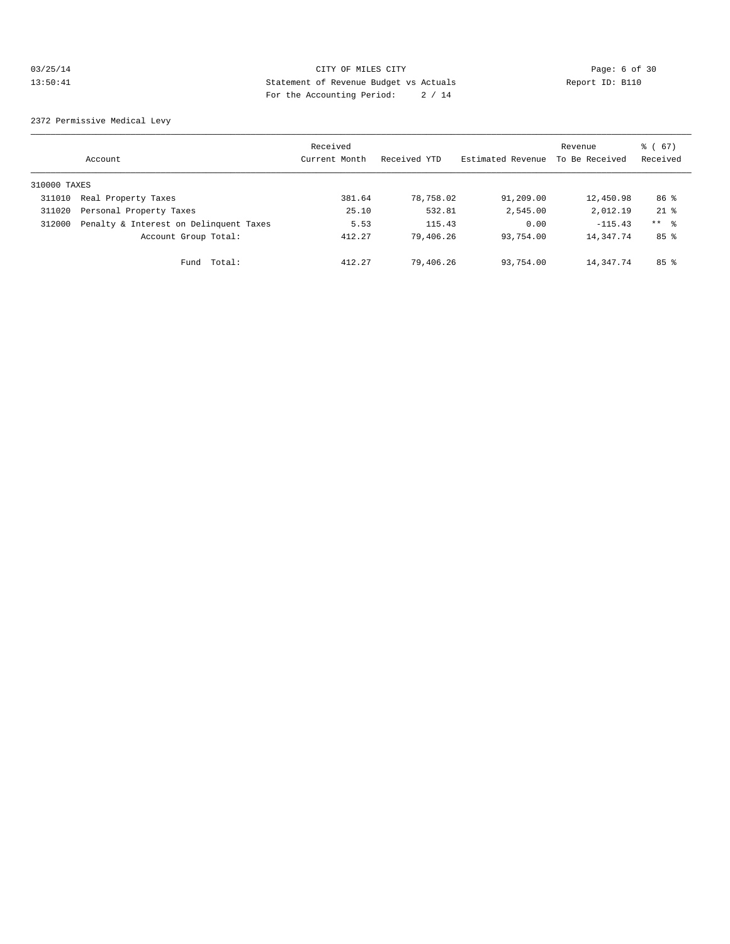### 03/25/14 Page: 6 of 30 13:50:41 Statement of Revenue Budget vs Actuals Report ID: B110 For the Accounting Period: 2 / 14

2372 Permissive Medical Levy

|              | Account                                | Received<br>Current Month | Received YTD | Estimated Revenue | Revenue<br>To Be Received | % (67)<br>Received |
|--------------|----------------------------------------|---------------------------|--------------|-------------------|---------------------------|--------------------|
| 310000 TAXES |                                        |                           |              |                   |                           |                    |
| 311010       | Real Property Taxes                    | 381.64                    | 78,758.02    | 91,209.00         | 12,450.98                 | 86 %               |
| 311020       | Personal Property Taxes                | 25.10                     | 532.81       | 2,545.00          | 2,012.19                  | $21$ $%$           |
| 312000       | Penalty & Interest on Delinquent Taxes | 5.53                      | 115.43       | 0.00              | $-115.43$                 | $***$ $\approx$    |
|              | Account Group Total:                   | 412.27                    | 79,406.26    | 93,754.00         | 14, 347. 74               | $85$ %             |
|              | Total:<br>Fund                         | 412.27                    | 79,406.26    | 93,754.00         | 14, 347. 74               | 85%                |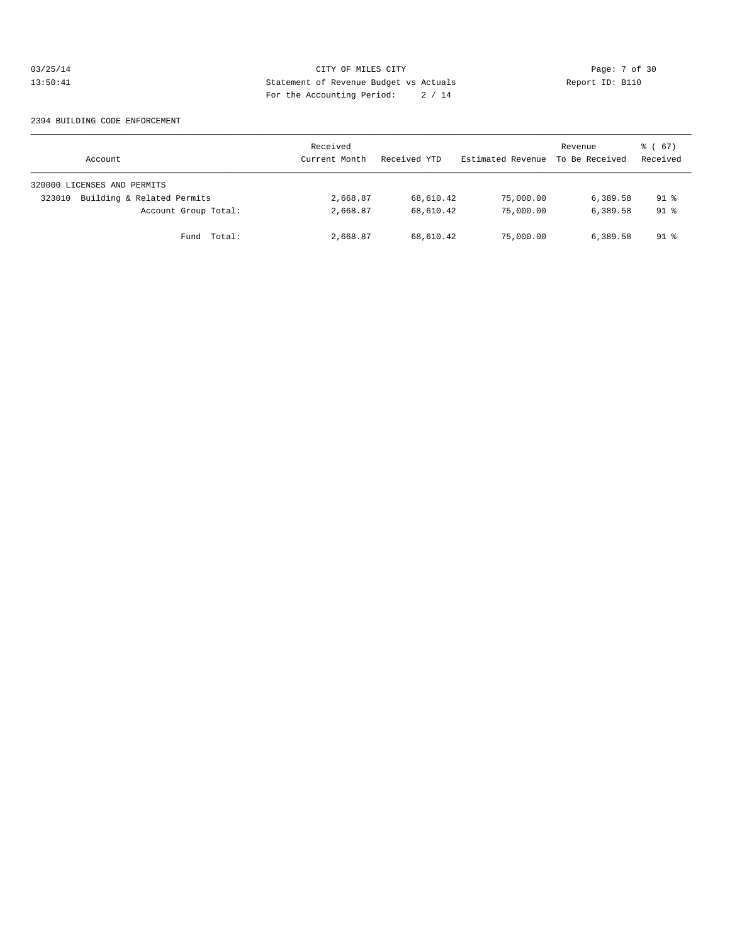### 03/25/14 CITY OF MILES CITY Page: 7 of 30<br>13:50:41 Statement of Revenue Budget vs Actuals Report ID: B110<br>Por the Accumular Device: 2011 13:50:41 Statement of Revenue Budget vs Actuals Report ID: B110 For the Accounting Period: 2 / 14

#### 2394 BUILDING CODE ENFORCEMENT

| Account                              | Received<br>Current Month | Received YTD | Estimated Revenue | Revenue<br>To Be Received | 8 ( 67 )<br>Received |
|--------------------------------------|---------------------------|--------------|-------------------|---------------------------|----------------------|
| 320000 LICENSES AND PERMITS          |                           |              |                   |                           |                      |
| Building & Related Permits<br>323010 | 2,668.87                  | 68,610.42    | 75,000.00         | 6,389.58                  | 91 %                 |
| Account Group Total:                 | 2,668.87                  | 68,610.42    | 75,000.00         | 6,389.58                  | $91$ %               |
| Fund Total:                          | 2,668.87                  | 68,610.42    | 75,000.00         | 6,389.58                  | 91 %                 |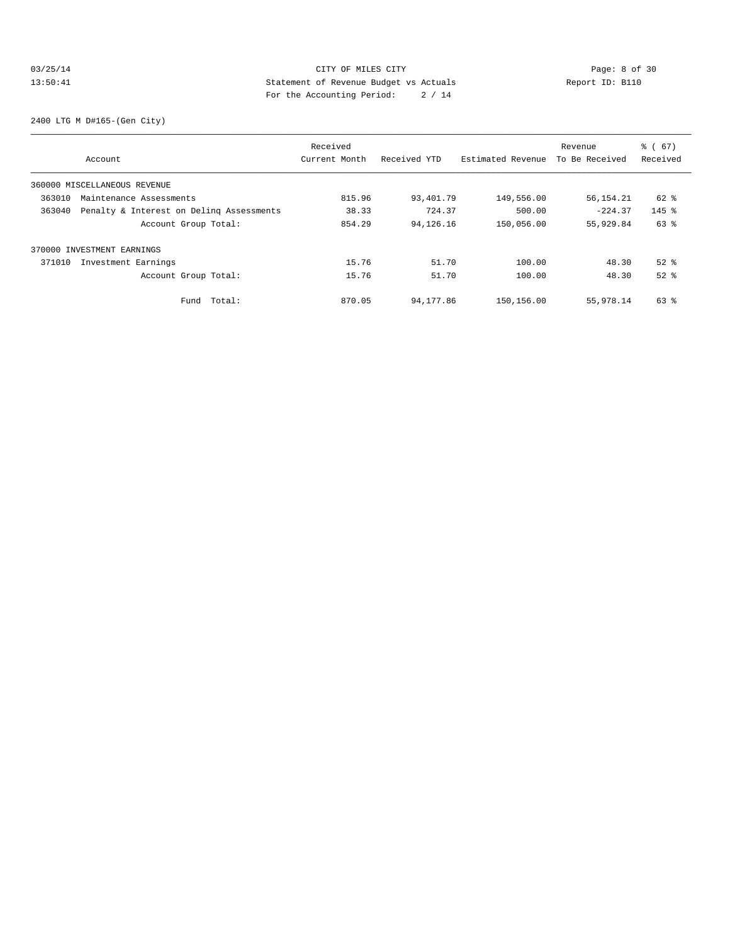### 03/25/14 Page: 8 of 30 13:50:41 Statement of Revenue Budget vs Actuals Report ID: B110 For the Accounting Period: 2 / 14

2400 LTG M D#165-(Gen City)

|        |                                          | Received      |              |                   | Revenue        | % (67)   |
|--------|------------------------------------------|---------------|--------------|-------------------|----------------|----------|
|        | Account                                  | Current Month | Received YTD | Estimated Revenue | To Be Received | Received |
|        | 360000 MISCELLANEOUS REVENUE             |               |              |                   |                |          |
| 363010 | Maintenance Assessments                  | 815.96        | 93,401.79    | 149,556.00        | 56, 154. 21    | $62$ $%$ |
| 363040 | Penalty & Interest on Deling Assessments | 38.33         | 724.37       | 500.00            | $-224.37$      | $145$ %  |
|        | Account Group Total:                     | 854.29        | 94,126.16    | 150,056.00        | 55,929.84      | 63 %     |
|        | 370000 INVESTMENT EARNINGS               |               |              |                   |                |          |
| 371010 | Investment Earnings                      | 15.76         | 51.70        | 100.00            | 48.30          | $52$ $%$ |
|        | Account Group Total:                     | 15.76         | 51.70        | 100.00            | 48.30          | $52$ $%$ |
|        | Total:<br>Fund                           | 870.05        | 94,177.86    | 150,156.00        | 55,978.14      | 63 %     |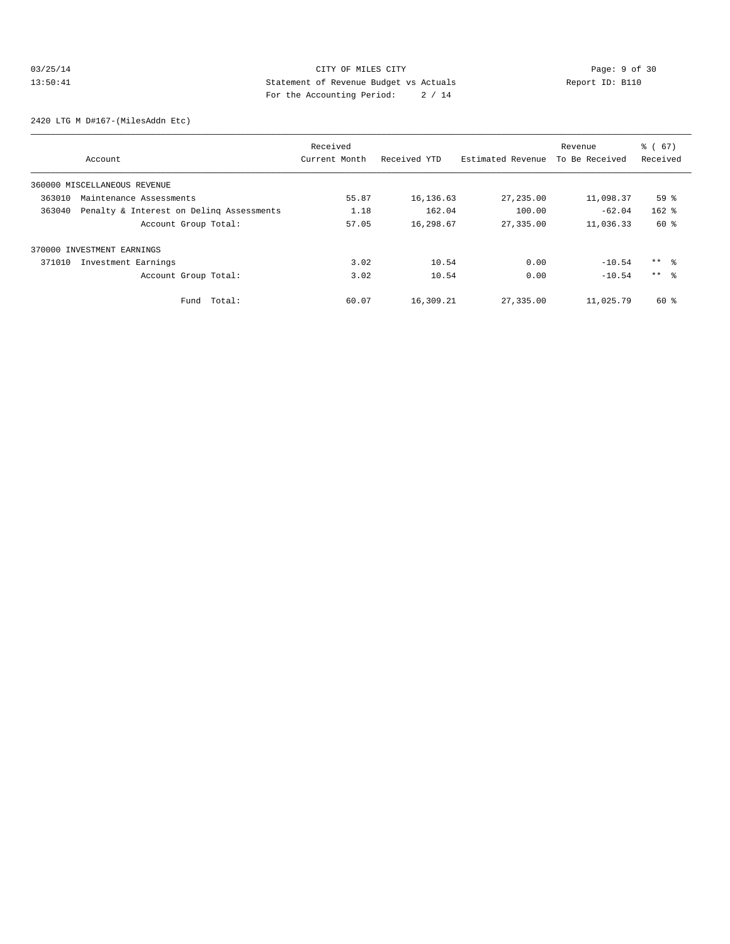# 03/25/14 CITY OF MILES CITY Page: 9 of 30<br>13:50:41 Statement of Revenue Budget vs Actuals Report ID: B110<br>2.41 Pays the Accumulation Deviation 2.414 13:50:41 Statement of Revenue Budget vs Actuals Report ID: B110 For the Accounting Period: 2 / 14

2420 LTG M D#167-(MilesAddn Etc)

|        |                                          | Received      |              |                   | Revenue        | % (67)          |
|--------|------------------------------------------|---------------|--------------|-------------------|----------------|-----------------|
|        | Account                                  | Current Month | Received YTD | Estimated Revenue | To Be Received | Received        |
|        | 360000 MISCELLANEOUS REVENUE             |               |              |                   |                |                 |
| 363010 | Maintenance Assessments                  | 55.87         | 16,136.63    | 27,235.00         | 11,098.37      | 59 <sup>8</sup> |
| 363040 | Penalty & Interest on Deling Assessments | 1.18          | 162.04       | 100.00            | $-62.04$       | $162$ %         |
|        | Account Group Total:                     | 57.05         | 16,298.67    | 27,335.00         | 11,036.33      | 60 %            |
|        | 370000 INVESTMENT EARNINGS               |               |              |                   |                |                 |
| 371010 | Investment Earnings                      | 3.02          | 10.54        | 0.00              | $-10.54$       | $***$ %         |
|        | Account Group Total:                     | 3.02          | 10.54        | 0.00              | $-10.54$       | $***$ %         |
|        | Total:<br>Fund                           | 60.07         | 16,309.21    | 27,335.00         | 11,025.79      | $60*$           |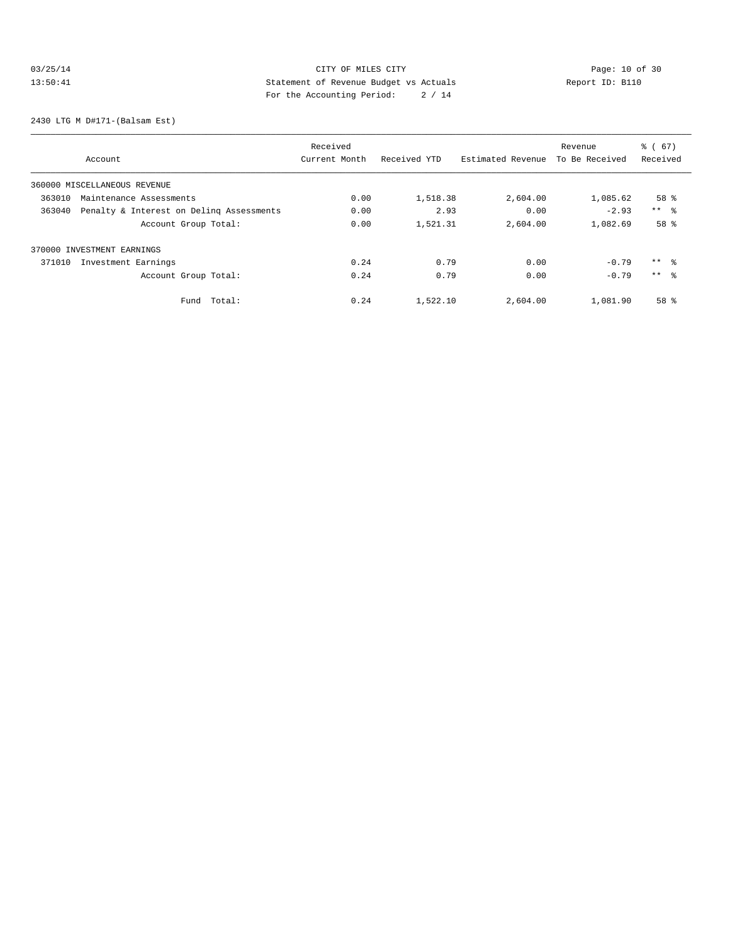# 03/25/14 Page: 10 of 30 13:50:41 Statement of Revenue Budget vs Actuals Report ID: B110 For the Accounting Period: 2 / 14

2430 LTG M D#171-(Balsam Est)

|        |                                          | Received      |              |                   | Revenue        | % (67)              |
|--------|------------------------------------------|---------------|--------------|-------------------|----------------|---------------------|
|        | Account                                  | Current Month | Received YTD | Estimated Revenue | To Be Received | Received            |
|        | 360000 MISCELLANEOUS REVENUE             |               |              |                   |                |                     |
| 363010 | Maintenance Assessments                  | 0.00          | 1,518.38     | 2,604.00          | 1,085.62       | 58 <sup>8</sup>     |
| 363040 | Penalty & Interest on Deling Assessments | 0.00          | 2.93         | 0.00              | $-2.93$        | $***$ $\frac{6}{5}$ |
|        | Account Group Total:                     | 0.00          | 1,521.31     | 2,604.00          | 1,082.69       | 58 %                |
|        | 370000 INVESTMENT EARNINGS               |               |              |                   |                |                     |
| 371010 | Investment Earnings                      | 0.24          | 0.79         | 0.00              | $-0.79$        | $***$ %             |
|        | Account Group Total:                     | 0.24          | 0.79         | 0.00              | $-0.79$        | $***$ %             |
|        | Total:<br>Fund                           | 0.24          | 1,522.10     | 2,604.00          | 1,081.90       | 58 %                |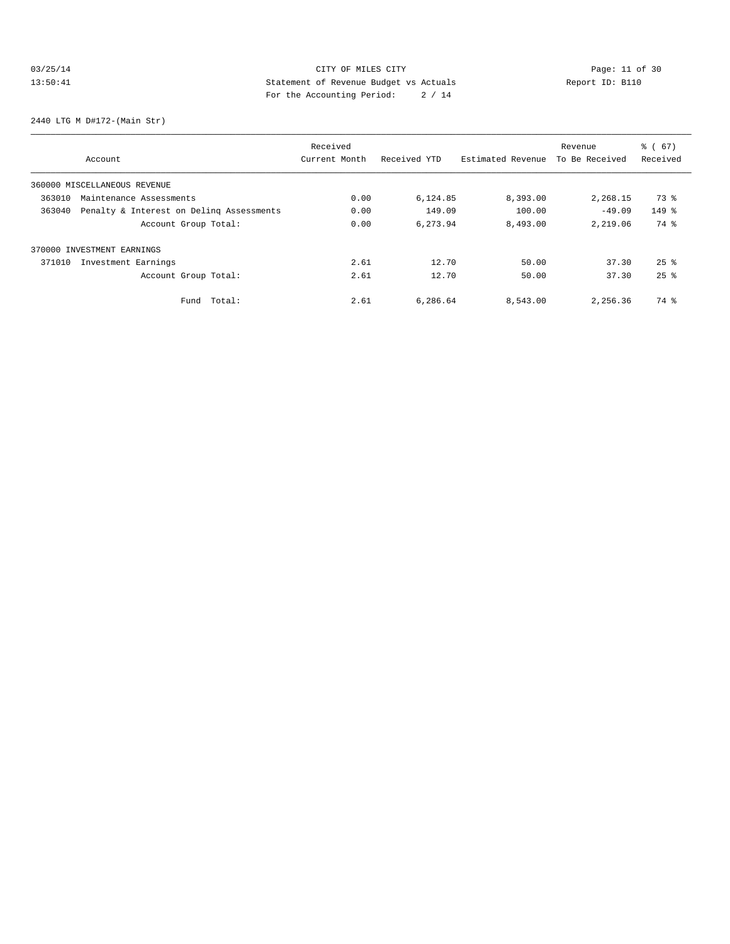# 03/25/14 Page: 11 of 30 13:50:41 Statement of Revenue Budget vs Actuals Report ID: B110 For the Accounting Period: 2 / 14

2440 LTG M D#172-(Main Str)

|        |                                          | Received      |              |                   | Revenue        | % (67)             |
|--------|------------------------------------------|---------------|--------------|-------------------|----------------|--------------------|
|        | Account                                  | Current Month | Received YTD | Estimated Revenue | To Be Received | Received           |
|        | 360000 MISCELLANEOUS REVENUE             |               |              |                   |                |                    |
| 363010 | Maintenance Assessments                  | 0.00          | 6,124.85     | 8,393.00          | 2,268.15       | 73 %               |
| 363040 | Penalty & Interest on Deling Assessments | 0.00          | 149.09       | 100.00            | $-49.09$       | $149$ %            |
|        | Account Group Total:                     | 0.00          | 6.273.94     | 8,493.00          | 2,219.06       | 74 %               |
|        | 370000 INVESTMENT EARNINGS               |               |              |                   |                |                    |
| 371010 | Investment Earnings                      | 2.61          | 12.70        | 50.00             | 37.30          | $25$ $\frac{6}{5}$ |
|        | Account Group Total:                     | 2.61          | 12.70        | 50.00             | 37.30          | $25$ $%$           |
|        | Total:<br>Fund                           | 2.61          | 6,286.64     | 8,543.00          | 2,256.36       | 74 %               |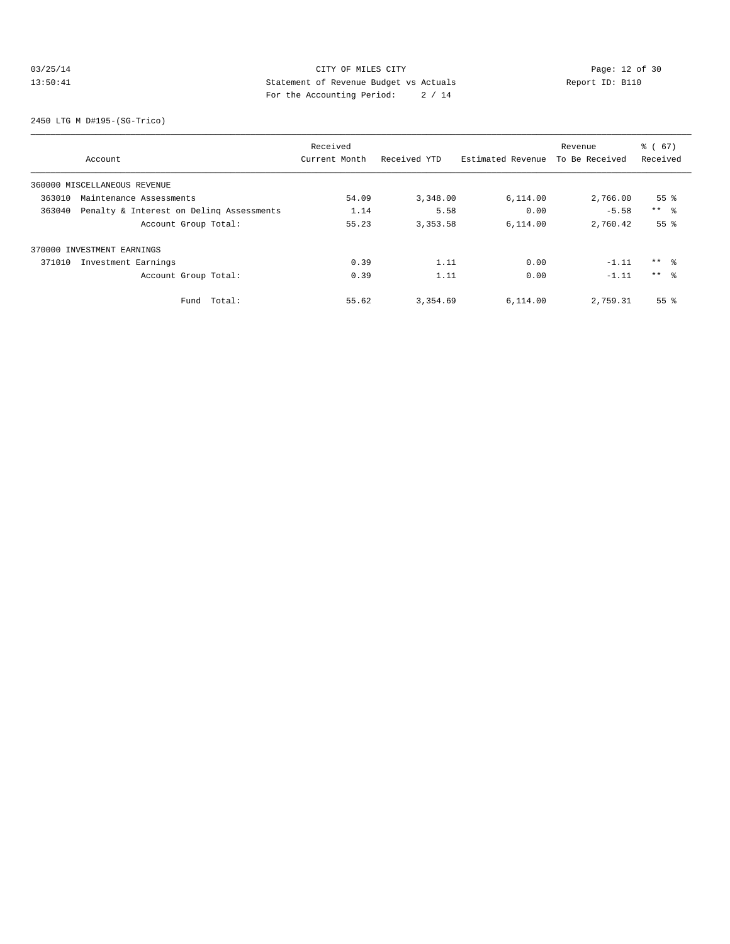# 03/25/14 Page: 12 of 30 13:50:41 Statement of Revenue Budget vs Actuals Report ID: B110 For the Accounting Period: 2 / 14

2450 LTG M D#195-(SG-Trico)

|        |                                          | Received      |              |                   | Revenue        | % (67)             |
|--------|------------------------------------------|---------------|--------------|-------------------|----------------|--------------------|
|        | Account                                  | Current Month | Received YTD | Estimated Revenue | To Be Received | Received           |
|        | 360000 MISCELLANEOUS REVENUE             |               |              |                   |                |                    |
| 363010 | Maintenance Assessments                  | 54.09         | 3,348.00     | 6,114.00          | 2,766.00       | 55 <sup>8</sup>    |
| 363040 | Penalty & Interest on Deling Assessments | 1.14          | 5.58         | 0.00              | $-5.58$        | $***$ $\approx$    |
|        | Account Group Total:                     | 55.23         | 3,353.58     | 6.114.00          | 2,760.42       | 55 <sup>8</sup>    |
|        | 370000 INVESTMENT EARNINGS               |               |              |                   |                |                    |
| 371010 | Investment Earnings                      | 0.39          | 1.11         | 0.00              | $-1.11$        | ** %               |
|        | Account Group Total:                     | 0.39          | 1.11         | 0.00              | $-1.11$        | $***$ $\approx$    |
|        | Total:<br>Fund                           | 55.62         | 3,354.69     | 6,114.00          | 2,759.31       | $55$ $\frac{6}{3}$ |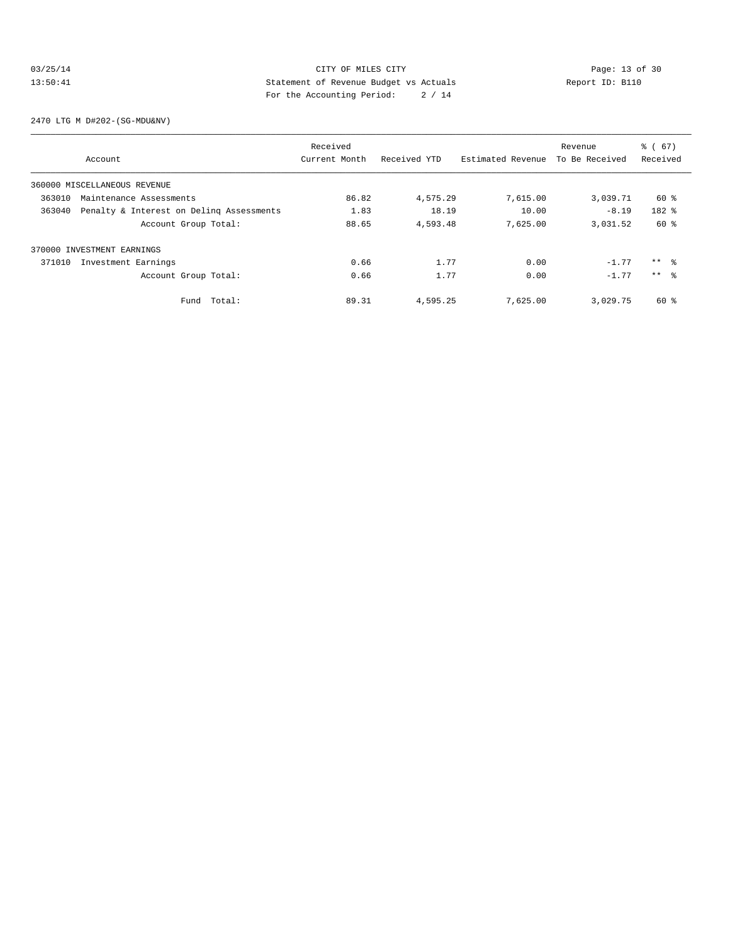### 03/25/14 Page: 13 of 30 13:50:41 Statement of Revenue Budget vs Actuals Report ID: B110<br>Report ID: B110 For the Accounting Period: 2 / 14

2470 LTG M D#202-(SG-MDU&NV)

|        |                                          | Received      |              |                   | Revenue        | % (67)          |
|--------|------------------------------------------|---------------|--------------|-------------------|----------------|-----------------|
|        | Account                                  | Current Month | Received YTD | Estimated Revenue | To Be Received | Received        |
|        | 360000 MISCELLANEOUS REVENUE             |               |              |                   |                |                 |
| 363010 | Maintenance Assessments                  | 86.82         | 4,575.29     | 7,615.00          | 3,039.71       | 60 %            |
| 363040 | Penalty & Interest on Deling Assessments | 1.83          | 18.19        | 10.00             | $-8.19$        | 182 %           |
|        | Account Group Total:                     | 88.65         | 4,593.48     | 7,625.00          | 3,031.52       | 60 %            |
|        | 370000 INVESTMENT EARNINGS               |               |              |                   |                |                 |
| 371010 | Investment Earnings                      | 0.66          | 1.77         | 0.00              | $-1.77$        | $***$ $\approx$ |
|        | Account Group Total:                     | 0.66          | 1.77         | 0.00              | $-1.77$        | $***$ $\approx$ |
|        | Total:<br>Fund                           | 89.31         | 4,595.25     | 7,625.00          | 3,029.75       | 60 %            |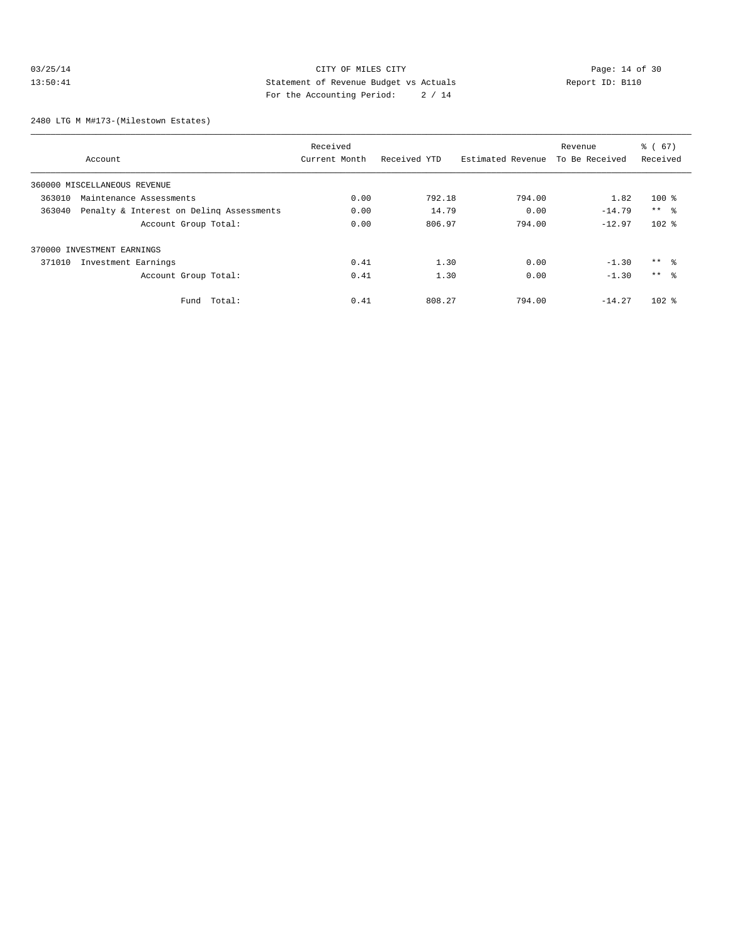### 03/25/14 Page: 14 of 30 13:50:41 Statement of Revenue Budget vs Actuals Report ID: B110 For the Accounting Period: 2 / 14

2480 LTG M M#173-(Milestown Estates)

|        |                                          | Received      |              |                   | Revenue        | % (67)          |
|--------|------------------------------------------|---------------|--------------|-------------------|----------------|-----------------|
|        | Account                                  | Current Month | Received YTD | Estimated Revenue | To Be Received | Received        |
|        | 360000 MISCELLANEOUS REVENUE             |               |              |                   |                |                 |
| 363010 | Maintenance Assessments                  | 0.00          | 792.18       | 794.00            | 1.82           | $100$ %         |
| 363040 | Penalty & Interest on Deling Assessments | 0.00          | 14.79        | 0.00              | $-14.79$       | $***$ %         |
|        | Account Group Total:                     | 0.00          | 806.97       | 794.00            | $-12.97$       | $102$ %         |
|        | 370000 INVESTMENT EARNINGS               |               |              |                   |                |                 |
| 371010 | Investment Earnings                      | 0.41          | 1.30         | 0.00              | $-1.30$        | ** %            |
|        | Account Group Total:                     | 0.41          | 1.30         | 0.00              | $-1.30$        | $***$ $\approx$ |
|        | Total:<br>Fund                           | 0.41          | 808.27       | 794.00            | $-14.27$       | $102$ %         |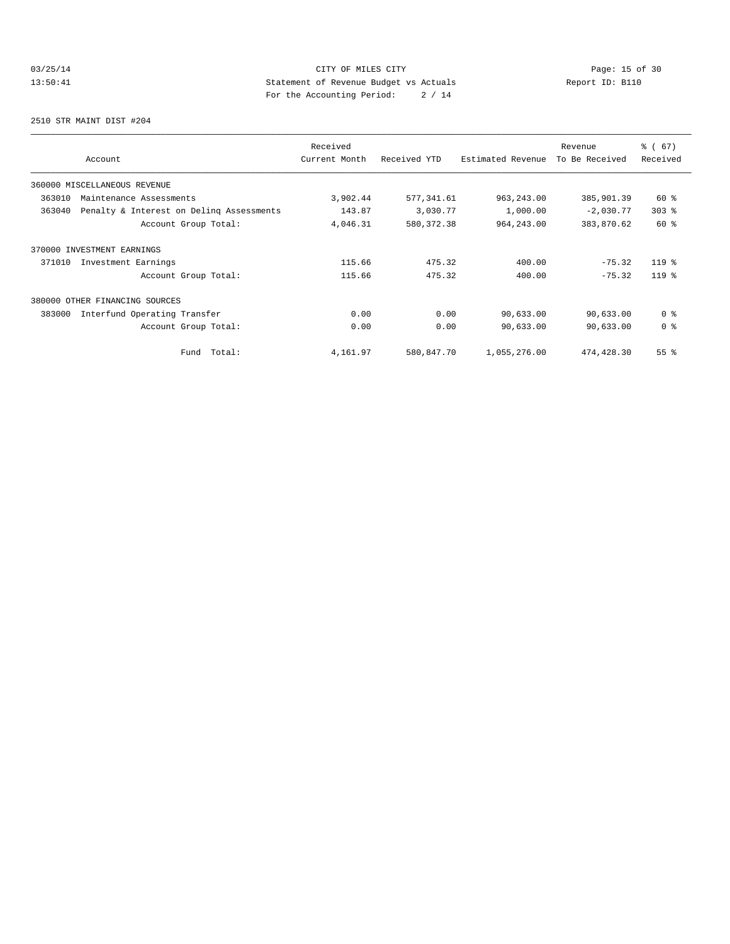# 03/25/14 Page: 15 of 30 13:50:41 Statement of Revenue Budget vs Actuals Report ID: B110<br>Report ID: B110 For the Accounting Period: 2 / 14

2510 STR MAINT DIST #204

| Account                                            | Received<br>Current Month | Received YTD | Estimated Revenue | Revenue<br>To Be Received | % (67)<br>Received |
|----------------------------------------------------|---------------------------|--------------|-------------------|---------------------------|--------------------|
| 360000 MISCELLANEOUS REVENUE                       |                           |              |                   |                           |                    |
| 363010<br>Maintenance Assessments                  | 3,902.44                  | 577, 341.61  | 963, 243.00       | 385,901.39                | 60 %               |
| 363040<br>Penalty & Interest on Deling Assessments | 143.87                    | 3,030.77     | 1,000.00          | $-2,030.77$               | $303$ $%$          |
| Account Group Total:                               | 4,046.31                  | 580, 372.38  | 964, 243.00       | 383,870.62                | 60 %               |
| 370000 INVESTMENT EARNINGS                         |                           |              |                   |                           |                    |
| Investment Earnings<br>371010                      | 115.66                    | 475.32       | 400.00            | $-75.32$                  | $119*$             |
| Account Group Total:                               | 115.66                    | 475.32       | 400.00            | $-75.32$                  | $119*$             |
| 380000<br>OTHER FINANCING SOURCES                  |                           |              |                   |                           |                    |
| 383000<br>Interfund Operating Transfer             | 0.00                      | 0.00         | 90,633.00         | 90,633.00                 | 0 <sup>8</sup>     |
| Account Group Total:                               | 0.00                      | 0.00         | 90,633.00         | 90,633.00                 | 0 <sup>8</sup>     |
| Total:<br>Fund                                     | 4,161.97                  | 580,847.70   | 1,055,276.00      | 474,428.30                | $55$ $%$           |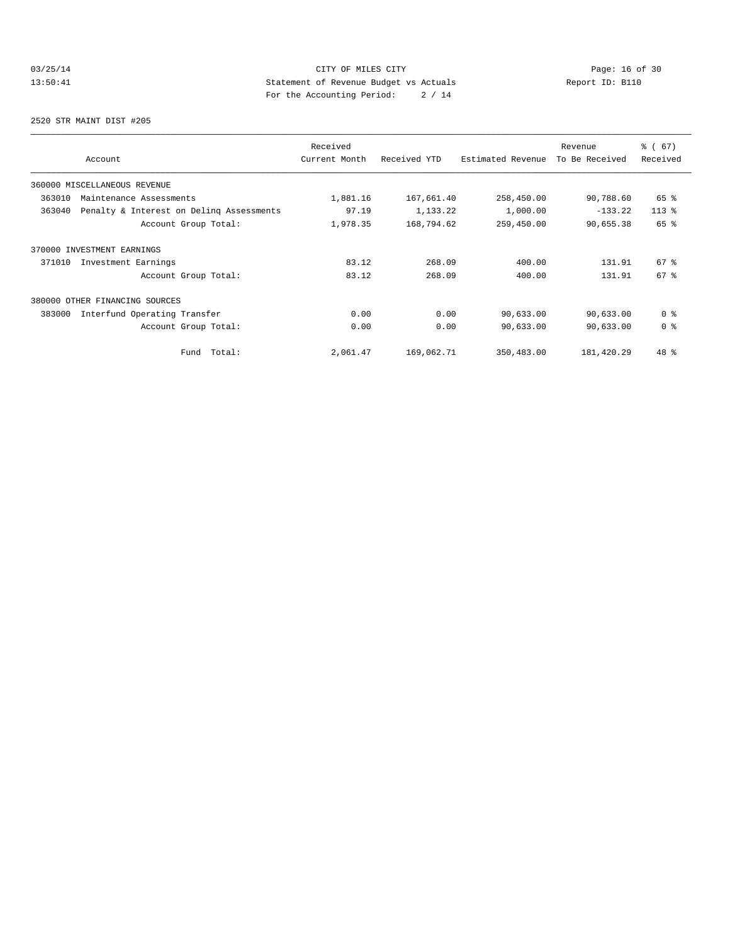# 03/25/14 Page: 16 of 30 13:50:41 Statement of Revenue Budget vs Actuals Report ID: B110 For the Accounting Period: 2 / 14

2520 STR MAINT DIST #205

| Account                                            | Received<br>Current Month | Received YTD | Estimated Revenue | Revenue<br>To Be Received | % (67)<br>Received |
|----------------------------------------------------|---------------------------|--------------|-------------------|---------------------------|--------------------|
| 360000 MISCELLANEOUS REVENUE                       |                           |              |                   |                           |                    |
| 363010<br>Maintenance Assessments                  | 1,881.16                  | 167,661.40   | 258,450.00        | 90,788.60                 | 65 %               |
| 363040<br>Penalty & Interest on Deling Assessments | 97.19                     | 1,133.22     | 1,000.00          | $-133.22$                 | $113*$             |
| Account Group Total:                               | 1,978.35                  | 168,794.62   | 259,450.00        | 90,655.38                 | 65 %               |
| 370000 INVESTMENT EARNINGS                         |                           |              |                   |                           |                    |
| Investment Earnings<br>371010                      | 83.12                     | 268.09       | 400.00            | 131.91                    | $67$ $%$           |
| Account Group Total:                               | 83.12                     | 268.09       | 400.00            | 131.91                    | 67 <sup>°</sup>    |
| 380000<br>OTHER FINANCING SOURCES                  |                           |              |                   |                           |                    |
| 383000<br>Interfund Operating Transfer             | 0.00                      | 0.00         | 90,633.00         | 90,633.00                 | 0 <sup>8</sup>     |
| Account Group Total:                               | 0.00                      | 0.00         | 90,633.00         | 90,633.00                 | 0 <sup>8</sup>     |
| Total:<br>Fund                                     | 2,061.47                  | 169,062.71   | 350,483.00        | 181,420.29                | 48 %               |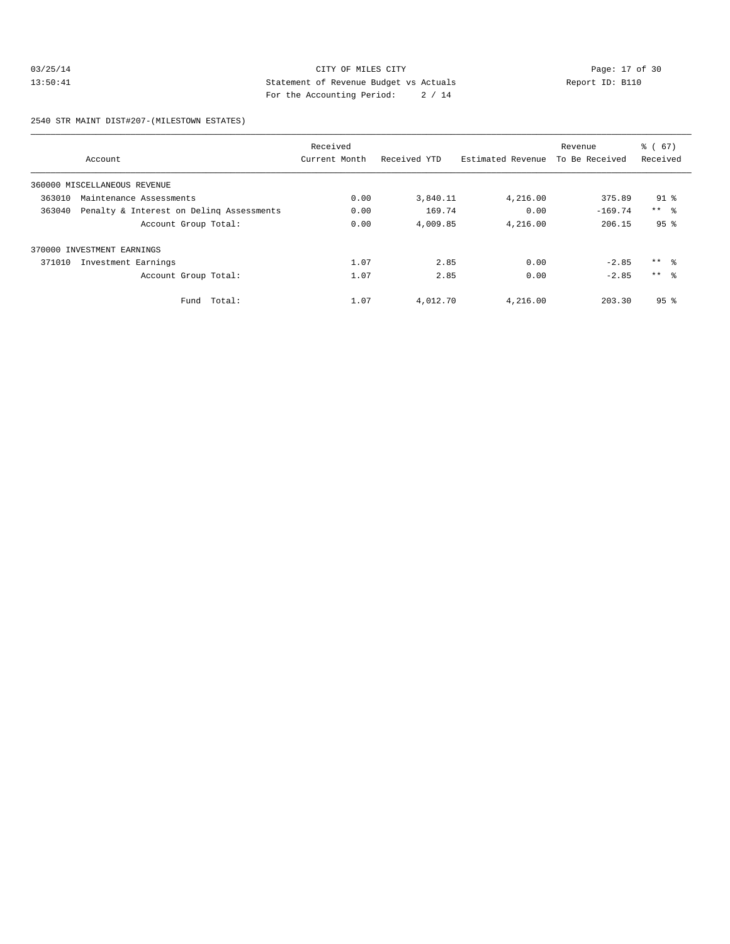### 03/25/14 Page: 17 of 30<br>13:50:41 Page: 17 of 30<br>13:50:41 CITY OF MILES CITY<br>50.14 Page: 17 of 30<br>13:50:41 Page: 17 of 30<br>13:50:41 Page: 17 of 30 13:50:41 Statement of Revenue Budget vs Actuals Report ID: B110 For the Accounting Period: 2 / 14

2540 STR MAINT DIST#207-(MILESTOWN ESTATES)

|        |                                          | Received      |              |                   | Revenue        | % (67)          |
|--------|------------------------------------------|---------------|--------------|-------------------|----------------|-----------------|
|        | Account                                  | Current Month | Received YTD | Estimated Revenue | To Be Received | Received        |
|        | 360000 MISCELLANEOUS REVENUE             |               |              |                   |                |                 |
| 363010 | Maintenance Assessments                  | 0.00          | 3,840.11     | 4,216.00          | 375.89         | $91$ %          |
| 363040 | Penalty & Interest on Deling Assessments | 0.00          | 169.74       | 0.00              | $-169.74$      | $***$ $ -$      |
|        | Account Group Total:                     | 0.00          | 4,009.85     | 4,216.00          | 206.15         | 95 <sup>8</sup> |
|        | 370000 INVESTMENT EARNINGS               |               |              |                   |                |                 |
| 371010 | Investment Earnings                      | 1.07          | 2.85         | 0.00              | $-2.85$        | $***$ 8         |
|        | Account Group Total:                     | 1.07          | 2.85         | 0.00              | $-2.85$        | $***$ $\approx$ |
|        | Fund Total:                              | 1.07          | 4,012.70     | 4,216.00          | 203.30         | 95 <sup>°</sup> |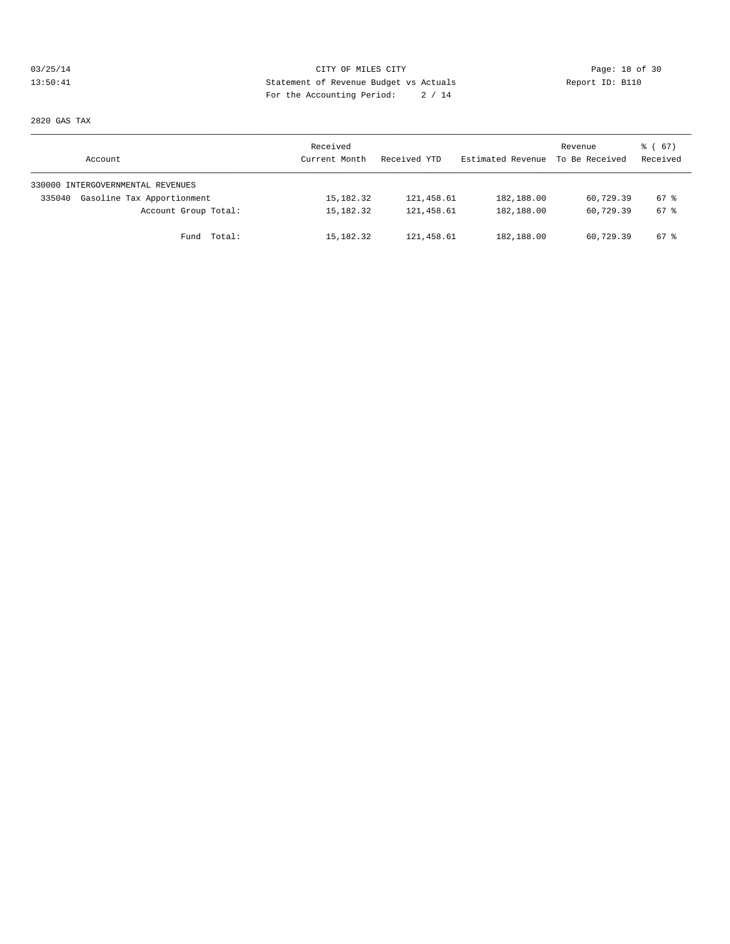# 03/25/14 Page: 18 of 30 13:50:41 Statement of Revenue Budget vs Actuals Report ID: B110 For the Accounting Period: 2 / 14

2820 GAS TAX

| Account                              | Received<br>Current Month | Received YTD | Estimated Revenue | Revenue<br>To Be Received | 8 ( 67 )<br>Received |
|--------------------------------------|---------------------------|--------------|-------------------|---------------------------|----------------------|
| 330000 INTERGOVERNMENTAL REVENUES    |                           |              |                   |                           |                      |
| Gasoline Tax Apportionment<br>335040 | 15,182.32                 | 121,458.61   | 182,188.00        | 60.729.39                 | $67$ $%$             |
| Account Group Total:                 | 15,182.32                 | 121,458.61   | 182,188.00        | 60,729.39                 | $67$ $%$             |
| Fund Total:                          | 15,182.32                 | 121,458.61   | 182,188.00        | 60,729.39                 | $67$ $%$             |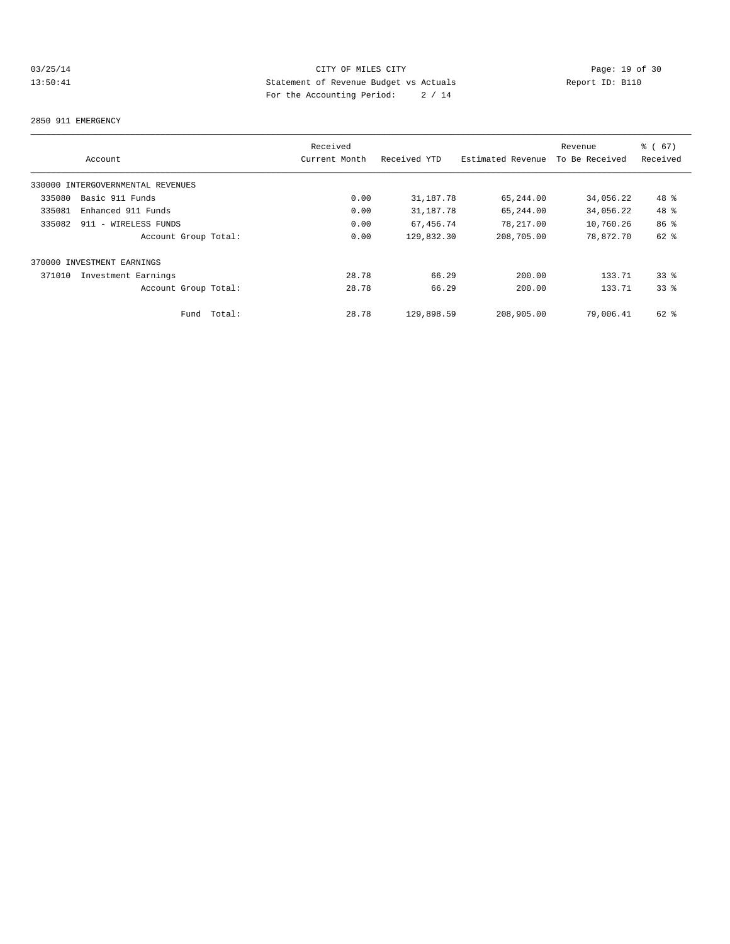# 03/25/14 CITY OF MILES CITY<br>13:50:41 Page: 19 of 30<br>13:50:41 CITY OF MILES CITY<br>2019 Statement of Revenue Budget vs Actuals<br>2019 Actuals 13:50:41 Statement of Revenue Budget vs Actuals Report ID: B110 For the Accounting Period: 2 / 14

#### 2850 911 EMERGENCY

|        |                                   |        | Received      |              |                   | Revenue        | 8 ( 67 )        |
|--------|-----------------------------------|--------|---------------|--------------|-------------------|----------------|-----------------|
|        | Account                           |        | Current Month | Received YTD | Estimated Revenue | To Be Received | Received        |
|        | 330000 INTERGOVERNMENTAL REVENUES |        |               |              |                   |                |                 |
| 335080 | Basic 911 Funds                   |        | 0.00          | 31,187.78    | 65,244.00         | 34,056.22      | 48 %            |
| 335081 | Enhanced 911 Funds                |        | 0.00          | 31,187.78    | 65,244.00         | 34,056.22      | 48 %            |
| 335082 | 911 - WIRELESS FUNDS              |        | 0.00          | 67,456.74    | 78,217.00         | 10,760.26      | 86 <sup>8</sup> |
|        | Account Group Total:              |        | 0.00          | 129,832.30   | 208,705.00        | 78,872.70      | 62 %            |
|        | 370000 INVESTMENT EARNINGS        |        |               |              |                   |                |                 |
| 371010 | Investment Earnings               |        | 28.78         | 66.29        | 200.00            | 133.71         | $33*$           |
|        | Account Group Total:              |        | 28.78         | 66.29        | 200.00            | 133.71         | 338             |
|        | Fund                              | Total: | 28.78         | 129,898.59   | 208,905.00        | 79,006.41      | $62$ $%$        |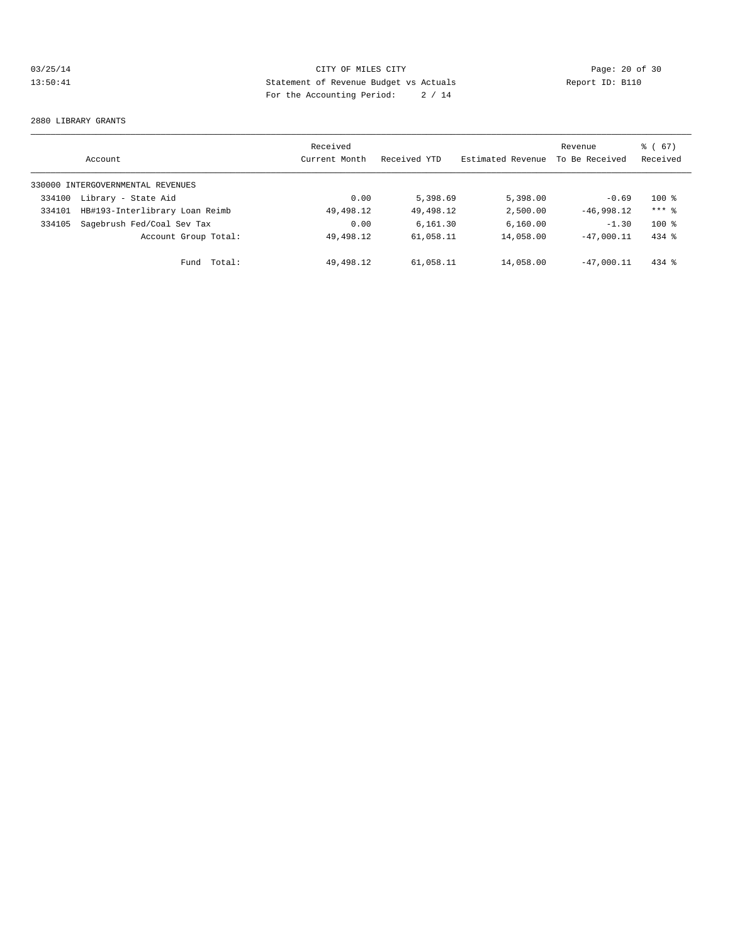# 03/25/14 Page: 20 of 30 13:50:41 Statement of Revenue Budget vs Actuals Report ID: B110 For the Accounting Period: 2 / 14

#### 2880 LIBRARY GRANTS

|        | Account                           | Received<br>Current Month | Received YTD | Estimated Revenue | Revenue<br>To Be Received | % (67)<br>Received |
|--------|-----------------------------------|---------------------------|--------------|-------------------|---------------------------|--------------------|
|        | 330000 INTERGOVERNMENTAL REVENUES |                           |              |                   |                           |                    |
| 334100 | Library - State Aid               | 0.00                      | 5,398.69     | 5,398.00          | $-0.69$                   | $100*$             |
| 334101 | HB#193-Interlibrary Loan Reimb    | 49, 498.12                | 49,498.12    | 2,500.00          | $-46,998.12$              | $***$ 2            |
| 334105 | Sagebrush Fed/Coal Sev Tax        | 0.00                      | 6.161.30     | 6, 160.00         | $-1.30$                   | $100*$             |
|        | Account Group Total:              | 49, 498.12                | 61,058.11    | 14,058.00         | $-47.000.11$              | $434$ $%$          |
|        | Total:<br>Fund                    | 49, 498.12                | 61,058.11    | 14,058.00         | $-47.000.11$              | $434$ %            |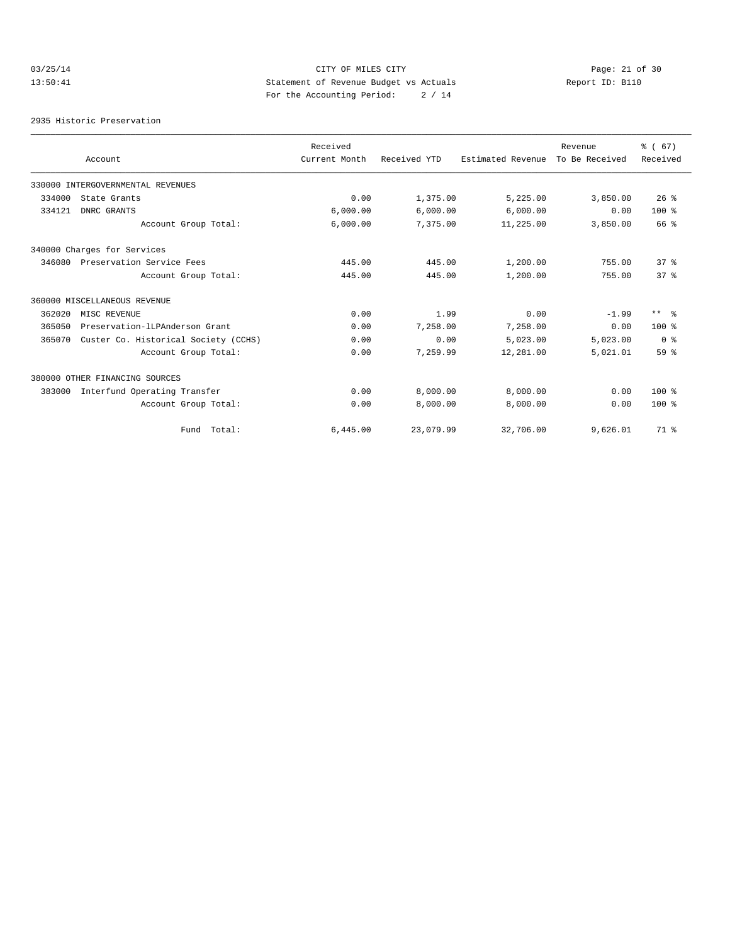# 03/25/14 Page: 21 of 30 13:50:41 Statement of Revenue Budget vs Actuals Report ID: B110 For the Accounting Period: 2 / 14

2935 Historic Preservation

|        |                                      | Received      |              |                   | Revenue        | % (67)          |
|--------|--------------------------------------|---------------|--------------|-------------------|----------------|-----------------|
|        | Account                              | Current Month | Received YTD | Estimated Revenue | To Be Received | Received        |
|        | 330000 INTERGOVERNMENTAL REVENUES    |               |              |                   |                |                 |
| 334000 | State Grants                         | 0.00          | 1,375.00     | 5,225.00          | 3,850.00       | $26$ %          |
| 334121 | DNRC GRANTS                          | 6,000.00      | 6,000.00     | 6,000.00          | 0.00           | $100*$          |
|        | Account Group Total:                 | 6,000.00      | 7,375.00     | 11,225.00         | 3,850.00       | 66 %            |
|        | 340000 Charges for Services          |               |              |                   |                |                 |
| 346080 | Preservation Service Fees            | 445.00        | 445.00       | 1,200.00          | 755.00         | 37%             |
|        | Account Group Total:                 | 445.00        | 445.00       | 1,200.00          | 755.00         | 37 <sup>8</sup> |
|        | 360000 MISCELLANEOUS REVENUE         |               |              |                   |                |                 |
| 362020 | MISC REVENUE                         | 0.00          | 1.99         | 0.00              | $-1.99$        | $***$ $ -$      |
| 365050 | Preservation-lLPAnderson Grant       | 0.00          | 7,258.00     | 7,258.00          | 0.00           | $100*$          |
| 365070 | Custer Co. Historical Society (CCHS) | 0.00          | 0.00         | 5,023.00          | 5,023.00       | 0 <sup>8</sup>  |
|        | Account Group Total:                 | 0.00          | 7,259.99     | 12,281.00         | 5,021.01       | 59 %            |
|        | 380000 OTHER FINANCING SOURCES       |               |              |                   |                |                 |
| 383000 | Interfund Operating Transfer         | 0.00          | 8,000.00     | 8,000.00          | 0.00           | $100*$          |
|        | Account Group Total:                 | 0.00          | 8,000.00     | 8,000.00          | 0.00           | $100*$          |
|        | Fund Total:                          | 6,445.00      | 23,079.99    | 32,706.00         | 9,626.01       | 71.8            |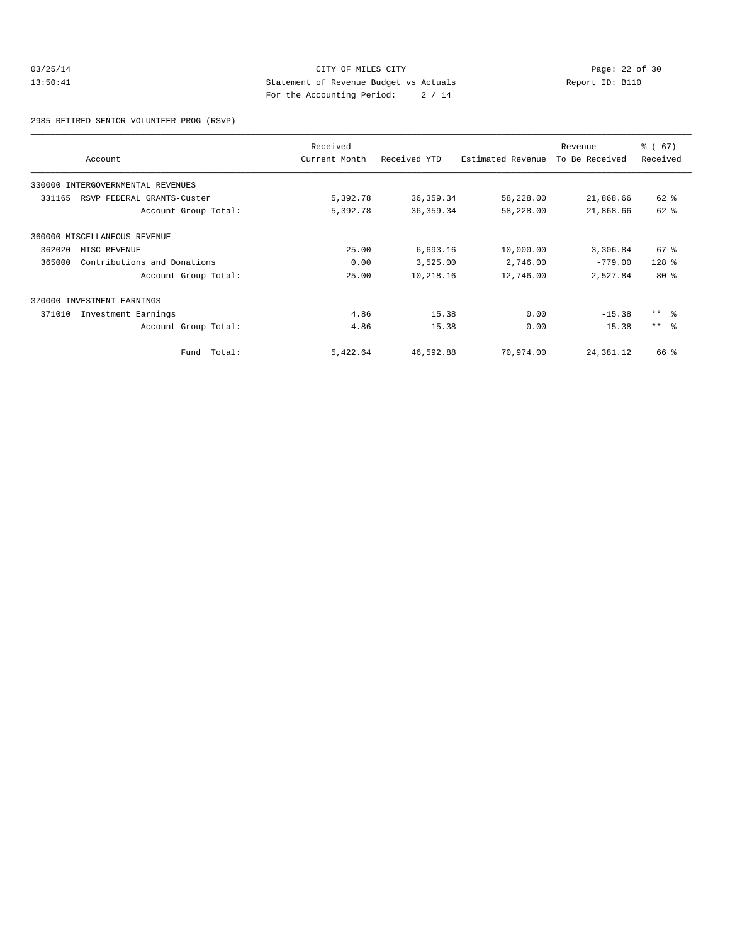### 03/25/14 Page: 22 of 30<br>13:50:41 CITY OF MILES CITY Page: 22 of 30<br>13:50:41 Statement of Revenue Budget vs Actuals<br>For the Accounting Boules of 14 13:50:41 Statement of Revenue Budget vs Actuals Report ID: B110 For the Accounting Period: 2 / 14

2985 RETIRED SENIOR VOLUNTEER PROG (RSVP)

|        | Account                           | Received<br>Current Month | Received YTD | Estimated Revenue | Revenue<br>To Be Received | % (67)<br>Received |
|--------|-----------------------------------|---------------------------|--------------|-------------------|---------------------------|--------------------|
|        | 330000 INTERGOVERNMENTAL REVENUES |                           |              |                   |                           |                    |
| 331165 | RSVP FEDERAL GRANTS-Custer        | 5,392.78                  | 36, 359. 34  | 58,228.00         | 21,868.66                 | $62$ $%$           |
|        | Account Group Total:              | 5,392.78                  | 36, 359. 34  | 58,228.00         | 21,868.66                 | 62 %               |
|        | 360000 MISCELLANEOUS REVENUE      |                           |              |                   |                           |                    |
| 362020 | MISC REVENUE                      | 25.00                     | 6,693.16     | 10,000.00         | 3,306.84                  | $67$ %             |
| 365000 | Contributions and Donations       | 0.00                      | 3,525.00     | 2,746.00          | $-779.00$                 | $128$ %            |
|        | Account Group Total:              | 25.00                     | 10,218.16    | 12,746.00         | 2,527.84                  | $80*$              |
| 370000 | INVESTMENT EARNINGS               |                           |              |                   |                           |                    |
| 371010 | Investment Earnings               | 4.86                      | 15.38        | 0.00              | $-15.38$                  | $***$ $ -$         |
|        | Account Group Total:              | 4.86                      | 15.38        | 0.00              | $-15.38$                  | $***$ $ -$         |
|        | Fund Total:                       | 5,422.64                  | 46,592.88    | 70,974.00         | 24,381.12                 | 66 %               |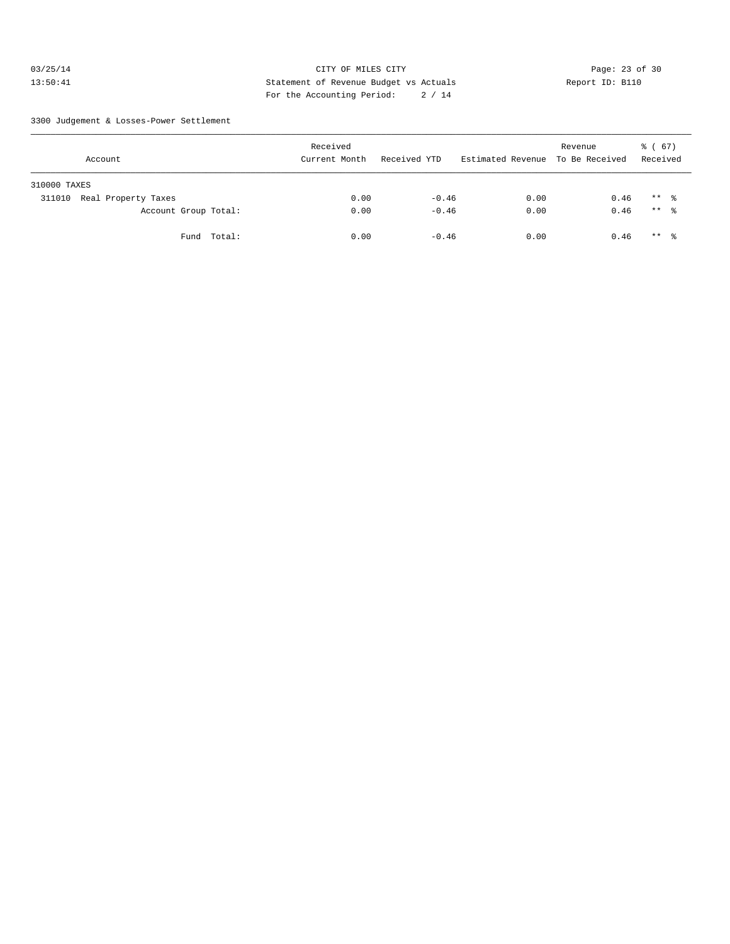### 03/25/14 Page: 23 of 30 13:50:41 Statement of Revenue Budget vs Actuals Report ID: B110 For the Accounting Period: 2 / 14

3300 Judgement & Losses-Power Settlement

| Account                       | Received<br>Current Month | Received YTD | Estimated Revenue To Be Received | Revenue | (67)<br>ී (<br>Received |
|-------------------------------|---------------------------|--------------|----------------------------------|---------|-------------------------|
| 310000 TAXES                  |                           |              |                                  |         |                         |
| Real Property Taxes<br>311010 | 0.00                      | $-0.46$      | 0.00                             | 0.46    | $***$ %                 |
| Account Group Total:          | 0.00                      | $-0.46$      | 0.00                             | 0.46    | ** 응                    |
| Fund Total:                   | 0.00                      | $-0.46$      | 0.00                             | 0.46    | $***$ %                 |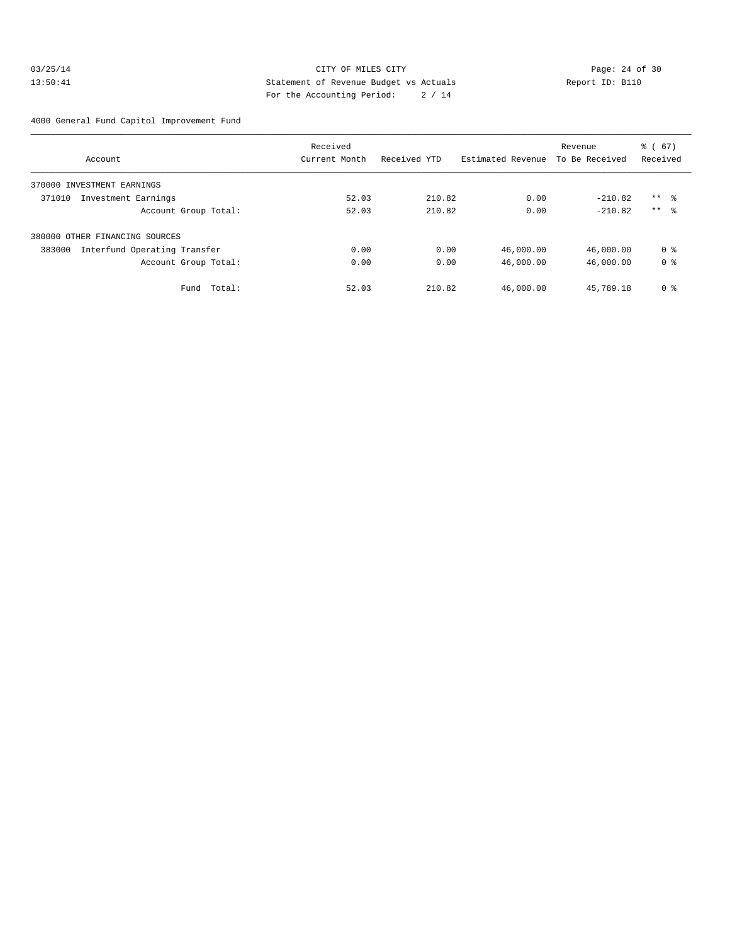### 03/25/14 Page: 24 of 30 13:50:41 Statement of Revenue Budget vs Actuals Report ID: B110 For the Accounting Period: 2 / 14

4000 General Fund Capitol Improvement Fund

|                                        | Received      |              |                   | Revenue        | % (67)         |
|----------------------------------------|---------------|--------------|-------------------|----------------|----------------|
| Account                                | Current Month | Received YTD | Estimated Revenue | To Be Received | Received       |
| 370000 INVESTMENT EARNINGS             |               |              |                   |                |                |
| 371010<br>Investment Earnings          | 52.03         | 210.82       | 0.00              | $-210.82$      | $***$ %        |
| Account Group Total:                   | 52.03         | 210.82       | 0.00              | $-210.82$      | $***$ 8        |
| 380000 OTHER FINANCING SOURCES         |               |              |                   |                |                |
| 383000<br>Interfund Operating Transfer | 0.00          | 0.00         | 46,000.00         | 46,000.00      | 0 <sub>8</sub> |
| Account Group Total:                   | 0.00          | 0.00         | 46,000.00         | 46,000.00      | 0 <sub>8</sub> |
| Total:<br>Fund                         | 52.03         | 210.82       | 46,000.00         | 45,789.18      | 0 <sup>8</sup> |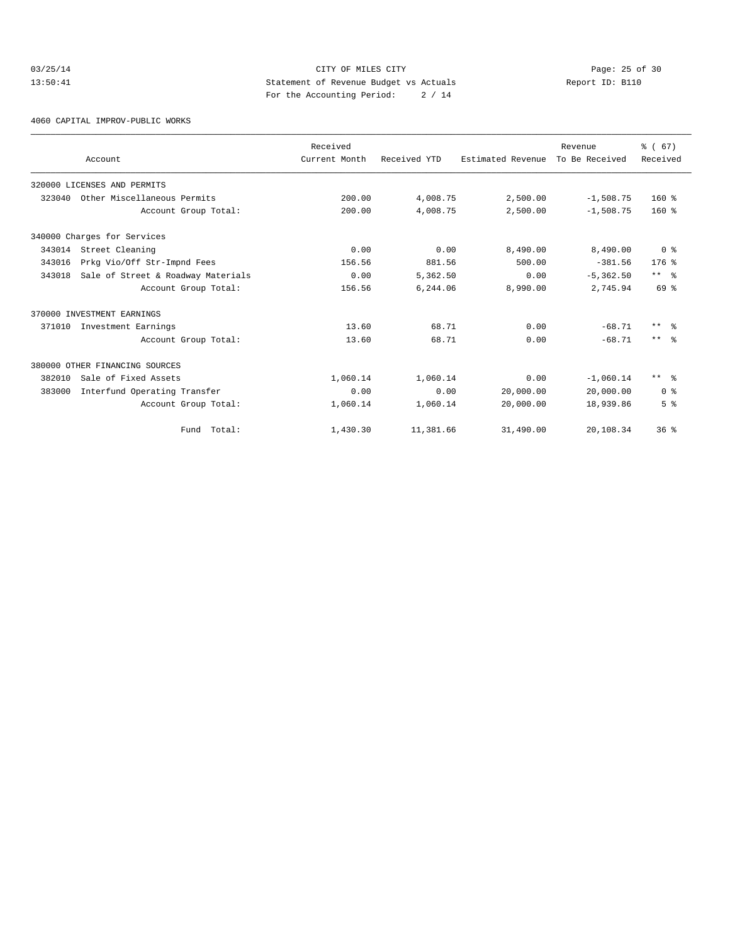### 03/25/14 Page: 25 of 30 13:50:41 Statement of Revenue Budget vs Actuals Report ID: B110 For the Accounting Period: 2 / 14

4060 CAPITAL IMPROV-PUBLIC WORKS

|        |                                    | Received      |              |                   | Revenue        | % (67)         |
|--------|------------------------------------|---------------|--------------|-------------------|----------------|----------------|
|        | Account                            | Current Month | Received YTD | Estimated Revenue | To Be Received | Received       |
|        | 320000 LICENSES AND PERMITS        |               |              |                   |                |                |
| 323040 | Other Miscellaneous Permits        | 200.00        | 4,008.75     | 2,500.00          | $-1,508.75$    | $160*$         |
|        | Account Group Total:               | 200.00        | 4,008.75     | 2,500.00          | $-1,508.75$    | $160*$         |
|        | 340000 Charges for Services        |               |              |                   |                |                |
|        | 343014 Street Cleaning             | 0.00          | 0.00         | 8,490.00          | 8,490.00       | 0 <sup>8</sup> |
| 343016 | Prkg Vio/Off Str-Impnd Fees        | 156.56        | 881.56       | 500.00            | $-381.56$      | $176$ %        |
| 343018 | Sale of Street & Roadway Materials | 0.00          | 5,362.50     | 0.00              | $-5, 362.50$   | $***$ $ -$     |
|        | Account Group Total:               | 156.56        | 6,244.06     | 8,990.00          | 2,745.94       | 69 %           |
|        | 370000 INVESTMENT EARNINGS         |               |              |                   |                |                |
| 371010 | Investment Earnings                | 13.60         | 68.71        | 0.00              | $-68.71$       | $***$ %        |
|        | Account Group Total:               | 13.60         | 68.71        | 0.00              | $-68.71$       | $***$ 8        |
|        | 380000 OTHER FINANCING SOURCES     |               |              |                   |                |                |
| 382010 | Sale of Fixed Assets               | 1,060.14      | 1,060.14     | 0.00              | $-1,060.14$    | $***$ 8        |
| 383000 | Interfund Operating Transfer       | 0.00          | 0.00         | 20,000.00         | 20,000.00      | 0 <sup>8</sup> |
|        | Account Group Total:               | 1,060.14      | 1,060.14     | 20,000.00         | 18,939.86      | 5 <sup>8</sup> |
|        | Fund Total:                        | 1,430.30      | 11,381.66    | 31,490.00         | 20,108.34      | 36%            |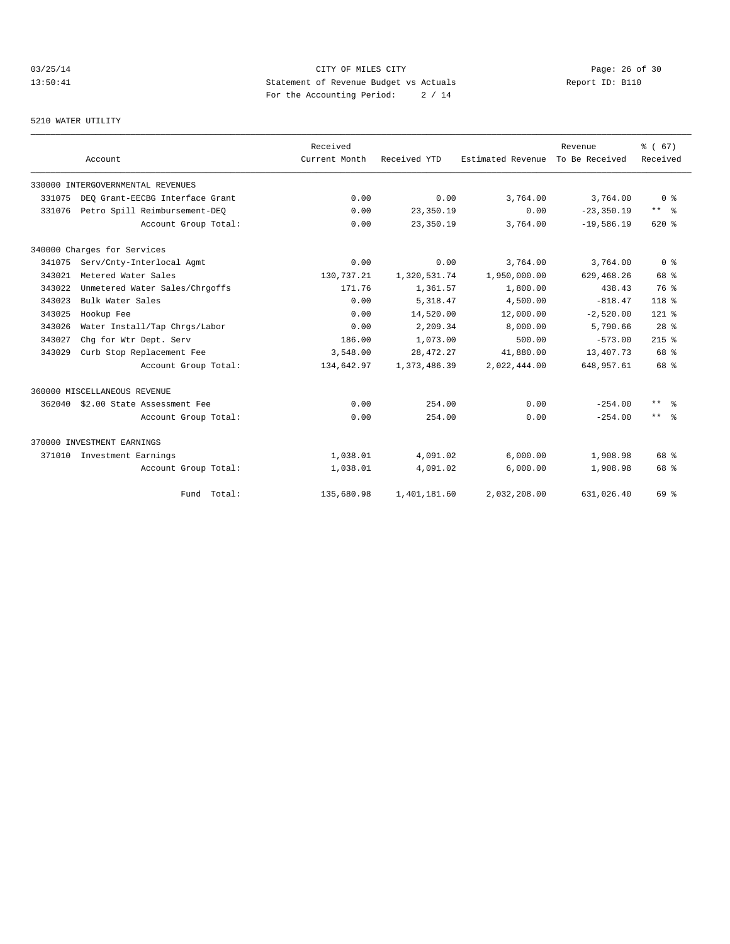# 03/25/14 Page: 26 of 30 13:50:41 Statement of Revenue Budget vs Actuals Report ID: B110 For the Accounting Period: 2 / 14

#### 5210 WATER UTILITY

|        | Account                            | Received<br>Current Month | Received YTD | Estimated Revenue | Revenue<br>To Be Received | % (67)<br>Received   |
|--------|------------------------------------|---------------------------|--------------|-------------------|---------------------------|----------------------|
|        | 330000 INTERGOVERNMENTAL REVENUES  |                           |              |                   |                           |                      |
| 331075 | DEO Grant-EECBG Interface Grant    | 0.00                      | 0.00         | 3,764.00          | 3,764.00                  | 0 <sup>8</sup>       |
| 331076 | Petro Spill Reimbursement-DEQ      | 0.00                      | 23,350.19    | 0.00              | $-23, 350.19$             | $***$ $ \frac{6}{9}$ |
|        | Account Group Total:               | 0.00                      | 23,350.19    | 3,764.00          | $-19,586.19$              | 620%                 |
|        | 340000 Charges for Services        |                           |              |                   |                           |                      |
| 341075 | Serv/Cnty-Interlocal Agmt          | 0.00                      | 0.00         | 3,764.00          | 3,764.00                  | 0 <sup>8</sup>       |
| 343021 | Metered Water Sales                | 130,737.21                | 1,320,531.74 | 1,950,000.00      | 629, 468.26               | 68 %                 |
| 343022 | Unmetered Water Sales/Chrgoffs     | 171.76                    | 1,361.57     | 1,800.00          | 438.43                    | 76 %                 |
| 343023 | Bulk Water Sales                   | 0.00                      | 5, 318, 47   | 4,500.00          | $-818.47$                 | 118 %                |
| 343025 | Hookup Fee                         | 0.00                      | 14,520.00    | 12,000.00         | $-2,520.00$               | $121$ %              |
| 343026 | Water Install/Tap Chrgs/Labor      | 0.00                      | 2,209.34     | 8,000.00          | 5,790.66                  | 28 <sup>8</sup>      |
| 343027 | Chg for Wtr Dept. Serv             | 186.00                    | 1,073.00     | 500.00            | $-573.00$                 | $215$ %              |
| 343029 | Curb Stop Replacement Fee          | 3,548.00                  | 28, 472. 27  | 41,880.00         | 13,407.73                 | 68 %                 |
|        | Account Group Total:               | 134,642.97                | 1,373,486.39 | 2,022,444.00      | 648,957.61                | 68 %                 |
|        | 360000 MISCELLANEOUS REVENUE       |                           |              |                   |                           |                      |
|        | 362040 \$2.00 State Assessment Fee | 0.00                      | 254.00       | 0.00              | $-254.00$                 | $\star\star$<br>- 옹  |
|        | Account Group Total:               | 0.00                      | 254.00       | 0.00              | $-254.00$                 | $***$ $ -$           |
|        | 370000 INVESTMENT EARNINGS         |                           |              |                   |                           |                      |
| 371010 | Investment Earnings                | 1,038.01                  | 4,091.02     | 6,000.00          | 1,908.98                  | 68 %                 |
|        | Account Group Total:               | 1,038.01                  | 4,091.02     | 6,000.00          | 1,908.98                  | 68 %                 |
|        | Fund Total:                        | 135,680.98                | 1,401,181.60 | 2.032.208.00      | 631,026.40                | 69 %                 |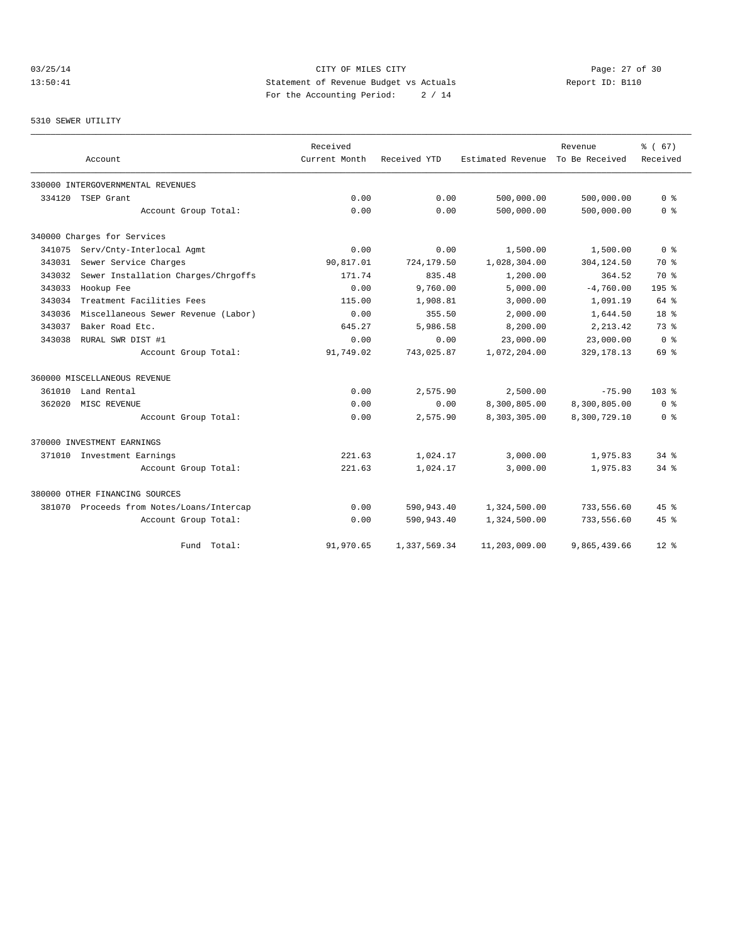# 03/25/14 Page: 27 of 30 13:50:41 Statement of Revenue Budget vs Actuals Report ID: B110 For the Accounting Period: 2 / 14

#### 5310 SEWER UTILITY

|        |                                           | Received      |              |                   | Revenue        | % (67)             |
|--------|-------------------------------------------|---------------|--------------|-------------------|----------------|--------------------|
|        | Account                                   | Current Month | Received YTD | Estimated Revenue | To Be Received | Received           |
|        | 330000 INTERGOVERNMENTAL REVENUES         |               |              |                   |                |                    |
| 334120 | TSEP Grant                                | 0.00          | 0.00         | 500,000.00        | 500,000.00     | 0 <sup>8</sup>     |
|        | Account Group Total:                      | 0.00          | 0.00         | 500,000.00        | 500,000.00     | 0 <sup>8</sup>     |
|        | 340000 Charges for Services               |               |              |                   |                |                    |
| 341075 | Serv/Cnty-Interlocal Agmt                 | 0.00          | 0.00         | 1,500.00          | 1,500.00       | 0 <sup>8</sup>     |
| 343031 | Sewer Service Charges                     | 90,817.01     | 724,179.50   | 1,028,304.00      | 304,124.50     | 70 %               |
| 343032 | Sewer Installation Charges/Chrgoffs       | 171.74        | 835.48       | 1,200.00          | 364.52         | 70 %               |
| 343033 | Hookup Fee                                | 0.00          | 9,760.00     | 5,000.00          | $-4,760.00$    | 195 <sub>8</sub>   |
| 343034 | Treatment Facilities Fees                 | 115.00        | 1,908.81     | 3,000.00          | 1,091.19       | 64 %               |
| 343036 | Miscellaneous Sewer Revenue (Labor)       | 0.00          | 355.50       | 2,000.00          | 1,644.50       | 18 <sup>8</sup>    |
| 343037 | Baker Road Etc.                           | 645.27        | 5,986.58     | 8,200.00          | 2, 213.42      | 73 %               |
| 343038 | RURAL SWR DIST #1                         | 0.00          | 0.00         | 23,000.00         | 23,000.00      | 0 <sup>8</sup>     |
|        | Account Group Total:                      | 91,749.02     | 743,025.87   | 1,072,204.00      | 329, 178. 13   | 69 %               |
|        | 360000 MISCELLANEOUS REVENUE              |               |              |                   |                |                    |
| 361010 | Land Rental                               | 0.00          | 2,575.90     | 2,500.00          | $-75.90$       | 103 <sub>8</sub>   |
| 362020 | MISC REVENUE                              | 0.00          | 0.00         | 8,300,805.00      | 8,300,805.00   | 0 <sup>8</sup>     |
|        | Account Group Total:                      | 0.00          | 2,575.90     | 8,303,305.00      | 8,300,729.10   | 0 <sup>8</sup>     |
|        | 370000 INVESTMENT EARNINGS                |               |              |                   |                |                    |
|        | 371010 Investment Earnings                | 221.63        | 1,024.17     | 3,000.00          | 1,975.83       | $34$ $%$           |
|        | Account Group Total:                      | 221.63        | 1,024.17     | 3,000.00          | 1,975.83       | $34$ $%$           |
|        | 380000 OTHER FINANCING SOURCES            |               |              |                   |                |                    |
|        | 381070 Proceeds from Notes/Loans/Intercap | 0.00          | 590,943.40   | 1,324,500.00      | 733,556.60     | $45$ $\frac{6}{3}$ |
|        | Account Group Total:                      | 0.00          | 590,943.40   | 1,324,500.00      | 733,556.60     | $45$ $\frac{6}{3}$ |
|        | Fund Total:                               | 91,970.65     | 1,337,569.34 | 11,203,009.00     | 9,865,439.66   | $12*$              |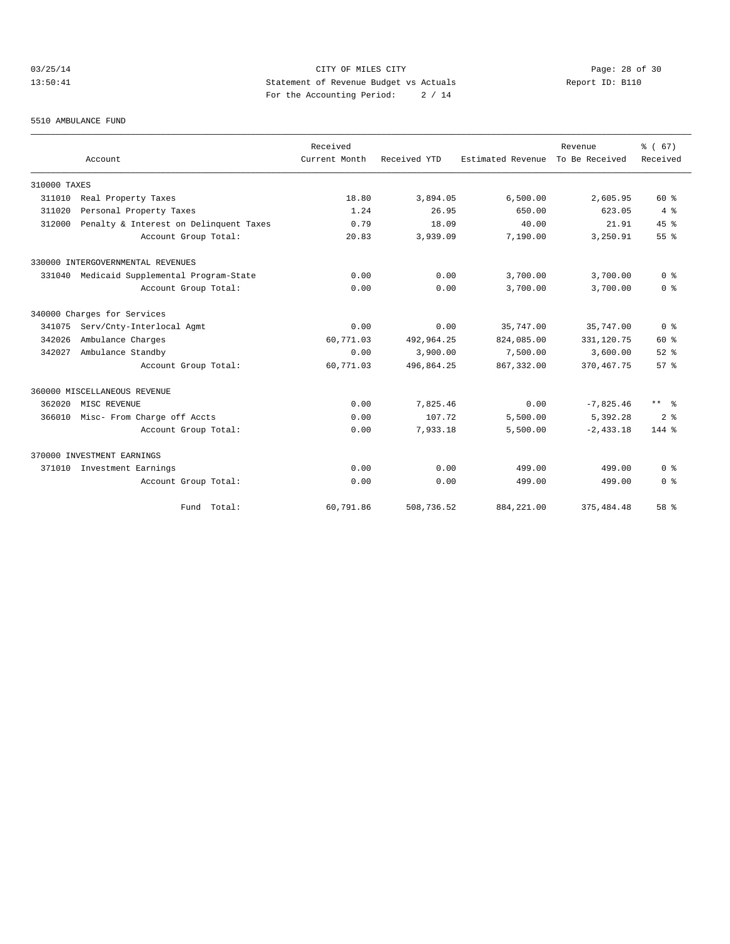# 03/25/14 Page: 28 of 30 13:50:41 Statement of Revenue Budget vs Actuals Report ID: B110 For the Accounting Period: 2 / 14

#### 5510 AMBULANCE FUND

|              |                                        | Received<br>Current Month | Received YTD |                   | Revenue<br>To Be Received | % (67)<br>Received   |
|--------------|----------------------------------------|---------------------------|--------------|-------------------|---------------------------|----------------------|
|              | Account                                |                           |              | Estimated Revenue |                           |                      |
| 310000 TAXES |                                        |                           |              |                   |                           |                      |
| 311010       | Real Property Taxes                    | 18.80                     | 3,894.05     | 6,500.00          | 2,605.95                  | 60 %                 |
| 311020       | Personal Property Taxes                | 1.24                      | 26.95        | 650.00            | 623.05                    | 4%                   |
| 312000       | Penalty & Interest on Delinquent Taxes | 0.79                      | 18.09        | 40.00             | 21.91                     | 45%                  |
|              | Account Group Total:                   | 20.83                     | 3,939.09     | 7,190.00          | 3,250.91                  | 55%                  |
|              | 330000 INTERGOVERNMENTAL REVENUES      |                           |              |                   |                           |                      |
| 331040       | Medicaid Supplemental Program-State    | 0.00                      | 0.00         | 3,700.00          | 3,700.00                  | 0 <sup>8</sup>       |
|              | Account Group Total:                   | 0.00                      | 0.00         | 3,700.00          | 3,700.00                  | 0 <sup>8</sup>       |
|              | 340000 Charges for Services            |                           |              |                   |                           |                      |
| 341075       | Serv/Cnty-Interlocal Agmt              | 0.00                      | 0.00         | 35,747.00         | 35,747.00                 | 0 <sup>8</sup>       |
| 342026       | Ambulance Charges                      | 60,771.03                 | 492,964.25   | 824,085.00        | 331,120.75                | $60*$                |
| 342027       | Ambulance Standby                      | 0.00                      | 3,900.00     | 7,500.00          | 3,600.00                  | $52$ $%$             |
|              | Account Group Total:                   | 60,771.03                 | 496,864.25   | 867, 332, 00      | 370.467.75                | 57%                  |
|              | 360000 MISCELLANEOUS REVENUE           |                           |              |                   |                           |                      |
| 362020       | MISC REVENUE                           | 0.00                      | 7,825.46     | 0.00              | $-7,825.46$               | $***$ $ \frac{6}{9}$ |
| 366010       | Misc- From Charge off Accts            | 0.00                      | 107.72       | 5,500.00          | 5,392.28                  | 2 <sup>8</sup>       |
|              | Account Group Total:                   | 0.00                      | 7,933.18     | 5,500.00          | $-2.433.18$               | 144 %                |
|              | 370000 INVESTMENT EARNINGS             |                           |              |                   |                           |                      |
| 371010       | Investment Earnings                    | 0.00                      | 0.00         | 499.00            | 499.00                    | 0 <sup>8</sup>       |
|              | Account Group Total:                   | 0.00                      | 0.00         | 499.00            | 499.00                    | 0 <sup>8</sup>       |
|              | Fund Total:                            | 60,791.86                 | 508,736.52   | 884, 221.00       | 375, 484.48               | 58 %                 |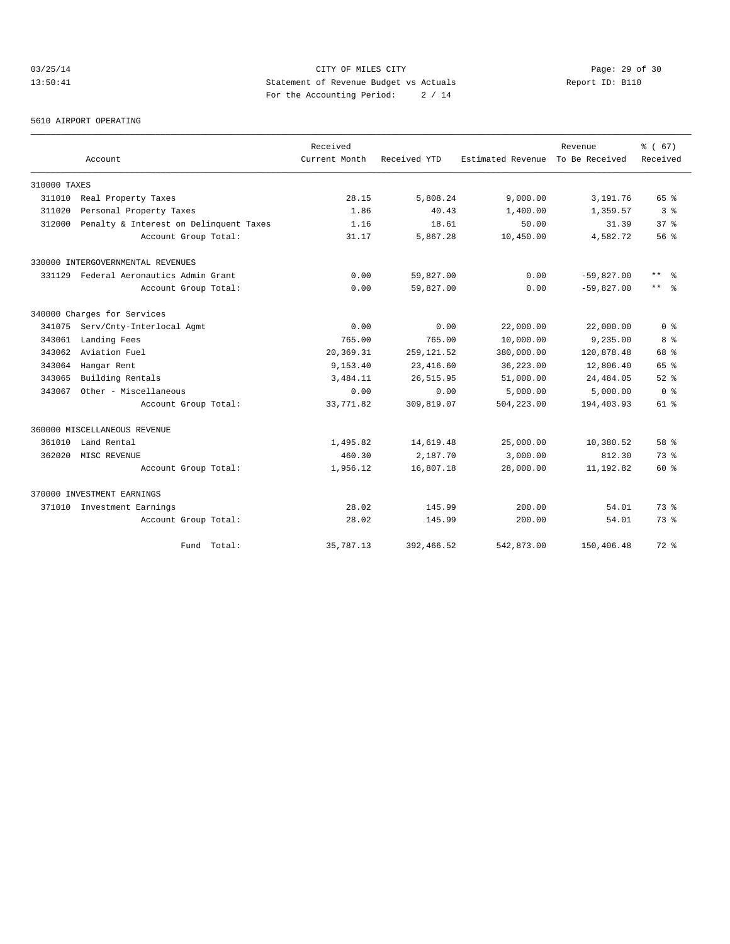# 03/25/14 Page: 29 of 30 13:50:41 Statement of Revenue Budget vs Actuals Report ID: B110 For the Accounting Period: 2 / 14

#### 5610 AIRPORT OPERATING

|              |                                        | Received      |              |                   | Revenue        | 8 ( 67)         |
|--------------|----------------------------------------|---------------|--------------|-------------------|----------------|-----------------|
|              | Account                                | Current Month | Received YTD | Estimated Revenue | To Be Received | Received        |
| 310000 TAXES |                                        |               |              |                   |                |                 |
| 311010       | Real Property Taxes                    | 28.15         | 5,808.24     | 9,000.00          | 3,191.76       | 65 %            |
| 311020       | Personal Property Taxes                | 1.86          | 40.43        | 1,400.00          | 1,359.57       | 3 <sup>8</sup>  |
| 312000       | Penalty & Interest on Delinquent Taxes | 1.16          | 18.61        | 50.00             | 31.39          | 37 <sup>8</sup> |
|              | Account Group Total:                   | 31.17         | 5,867.28     | 10,450.00         | 4,582.72       | 56%             |
|              | 330000 INTERGOVERNMENTAL REVENUES      |               |              |                   |                |                 |
| 331129       | Federal Aeronautics Admin Grant        | 0.00          | 59,827.00    | 0.00              | $-59,827.00$   | $***$<br>- 옹    |
|              | Account Group Total:                   | 0.00          | 59,827.00    | 0.00              | $-59,827.00$   | $***$ $\approx$ |
|              | 340000 Charges for Services            |               |              |                   |                |                 |
| 341075       | Serv/Cnty-Interlocal Agmt              | 0.00          | 0.00         | 22,000.00         | 22,000.00      | 0 <sup>8</sup>  |
| 343061       | Landing Fees                           | 765.00        | 765.00       | 10,000.00         | 9,235.00       | 8 %             |
| 343062       | Aviation Fuel                          | 20,369.31     | 259, 121.52  | 380,000.00        | 120,878.48     | 68 %            |
| 343064       | Hangar Rent                            | 9,153.40      | 23, 416.60   | 36,223.00         | 12,806.40      | 65 %            |
| 343065       | Building Rentals                       | 3,484.11      | 26, 515.95   | 51,000.00         | 24, 484.05     | $52$ $%$        |
| 343067       | Other - Miscellaneous                  | 0.00          | 0.00         | 5,000.00          | 5,000.00       | 0 <sup>8</sup>  |
|              | Account Group Total:                   | 33,771.82     | 309,819.07   | 504,223.00        | 194,403.93     | 61 %            |
|              | 360000 MISCELLANEOUS REVENUE           |               |              |                   |                |                 |
| 361010       | Land Rental                            | 1,495.82      | 14,619.48    | 25,000.00         | 10,380.52      | 58 %            |
| 362020       | MISC REVENUE                           | 460.30        | 2,187.70     | 3,000.00          | 812.30         | 73.8            |
|              | Account Group Total:                   | 1,956.12      | 16,807.18    | 28,000.00         | 11,192.82      | $60*$           |
|              | 370000 INVESTMENT EARNINGS             |               |              |                   |                |                 |
|              | 371010 Investment Earnings             | 28.02         | 145.99       | 200.00            | 54.01          | 73.8            |
|              | Account Group Total:                   | 28.02         | 145.99       | 200.00            | 54.01          | 73.8            |
|              | Fund Total:                            | 35,787.13     | 392,466.52   | 542,873.00        | 150,406.48     | $72$ $%$        |